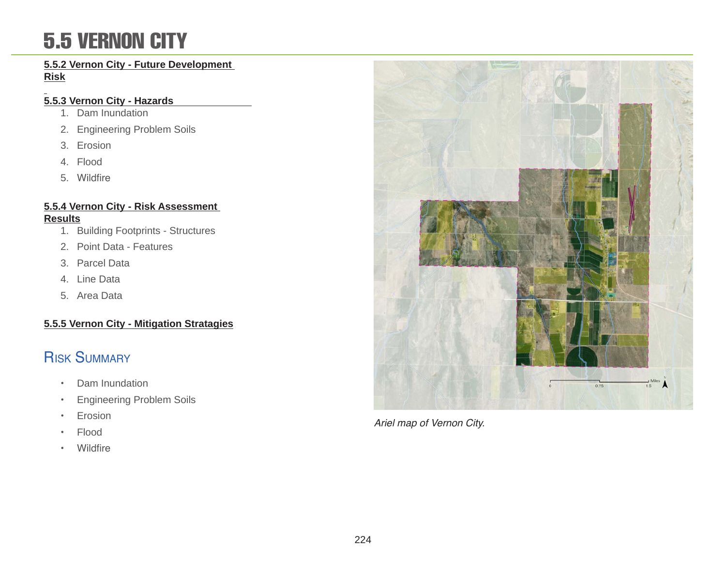### 5.5 VERNON CITY

#### **5.5.2 Vernon City - Future Development Risk**

#### **5.5.3 Vernon City - Hazards**

- 1. Dam Inundation
- 2. Engineering Problem Soils
- 3. Erosion
- 4. Flood
- 5. Wildfire

#### **5.5.4 Vernon City - Risk Assessment Results**

- 1. Building Footprints Structures
- 2. Point Data Features
- 3. Parcel Data
- 4. Line Data
- 5. Area Data

### **5.5.5 Vernon City - Mitigation Stratagies**

### **RISK SUMMARY**

- Dam Inundation
- Engineering Problem Soils
- Erosion
- Flood
- Wildfire



Ariel map of Vernon City.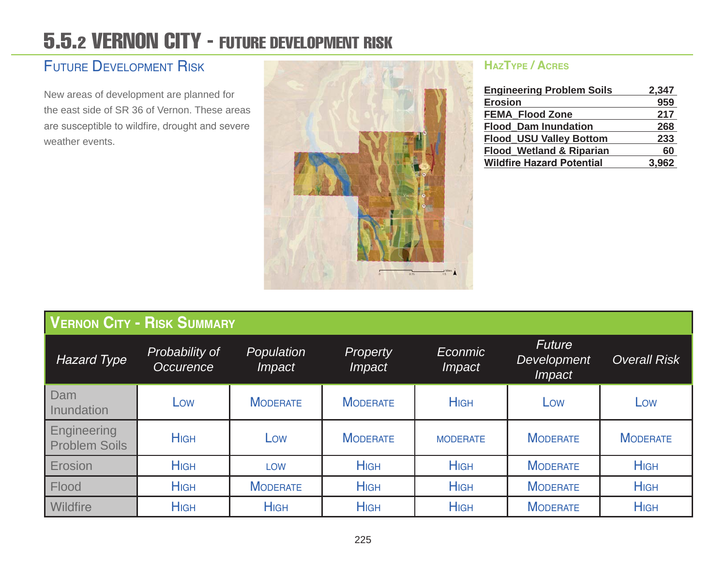### 5.5.2 VERNON CITY - FUTURE DEVELOPMENT RISK

### Future Development Risk

New areas of development are planned for the east side of SR 36 of Vernon. These areas are susceptible to wildfire, drought and severe weather events.



#### **HazType / Acres**

| <b>Engineering Problem Soils</b>    | 2,347 |
|-------------------------------------|-------|
| <b>Erosion</b>                      | 959   |
| <b>FEMA Flood Zone</b>              | 217   |
| <b>Flood Dam Inundation</b>         | 268   |
| <b>Flood_USU Valley Bottom</b>      | 233   |
| <b>Flood_Wetland &amp; Riparian</b> | 60    |
| <b>Wildfire Hazard Potential</b>    | 3,962 |

|                                     | <b>VERNON CITY - RISK SUMMARY</b>  |                             |                                  |                          |                                               |                     |
|-------------------------------------|------------------------------------|-----------------------------|----------------------------------|--------------------------|-----------------------------------------------|---------------------|
| <b>Hazard Type</b>                  | Probability of<br><b>Occurence</b> | Population<br><i>Impact</i> | <b>Property</b><br><i>Impact</i> | Econmic<br><i>Impact</i> | <b>Future</b><br>Development<br><i>Impact</i> | <b>Overall Risk</b> |
| Dam<br>Inundation                   | Low                                | <b>MODERATE</b>             | <b>MODERATE</b>                  | <b>HIGH</b>              | Low                                           | Low                 |
| Engineering<br><b>Problem Soils</b> | <b>HIGH</b>                        | Low                         | <b>MODERATE</b>                  | <b>MODERATE</b>          | <b>MODERATE</b>                               | <b>MODERATE</b>     |
| Erosion                             | <b>HIGH</b>                        | <b>LOW</b>                  | <b>HIGH</b>                      | <b>HIGH</b>              | <b>MODERATE</b>                               | <b>HIGH</b>         |
| Flood                               | <b>HIGH</b>                        | <b>MODERATE</b>             | <b>HIGH</b>                      | <b>HIGH</b>              | <b>MODERATE</b>                               | <b>HIGH</b>         |
| Wildfire                            | <b>HIGH</b>                        | <b>HIGH</b>                 | <b>HIGH</b>                      | <b>HIGH</b>              | <b>MODERATE</b>                               | <b>HIGH</b>         |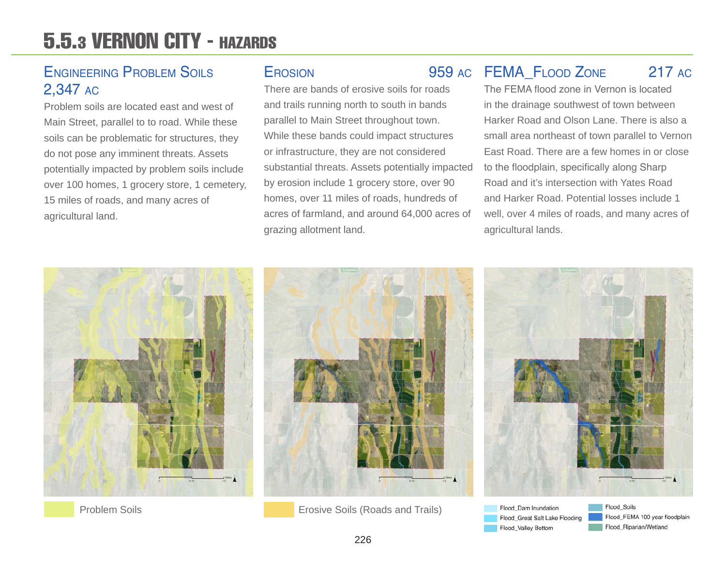### 5.5.3 VERNON CITY - HAZARDS

### Engineering Problem Soils 2,347 ac

Problem soils are located east and west of Main Street, parallel to to road. While these soils can be problematic for structures, they do not pose any imminent threats. Assets potentially impacted by problem soils include over 100 homes, 1 grocery store, 1 cemetery, 15 miles of roads, and many acres of agricultural land.

There are bands of erosive soils for roads and trails running north to south in bands parallel to Main Street throughout town. While these bands could impact structures or infrastructure, they are not considered substantial threats. Assets potentially impacted by erosion include 1 grocery store, over 90 homes, over 11 miles of roads, hundreds of acres of farmland, and around 64,000 acres of grazing allotment land.

### FEMA\_Flood Zone 217 ac Erosion 959 ac

The FEMA flood zone in Vernon is located in the drainage southwest of town between Harker Road and Olson Lane. There is also a small area northeast of town parallel to Vernon East Road. There are a few homes in or close to the floodplain, specifically along Sharp Road and it's intersection with Yates Road and Harker Road. Potential losses include 1 well, over 4 miles of roads, and many acres of agricultural lands.





**Problem Soils** Erosive Soils (Roads and Trails)



Flood Dam Inundation Flood\_Great Salt Lake Flooding Flood\_Valley Bottom

Flood\_Soils Flood\_FEMA 100 year floodplain Flood\_Riparian/Wetland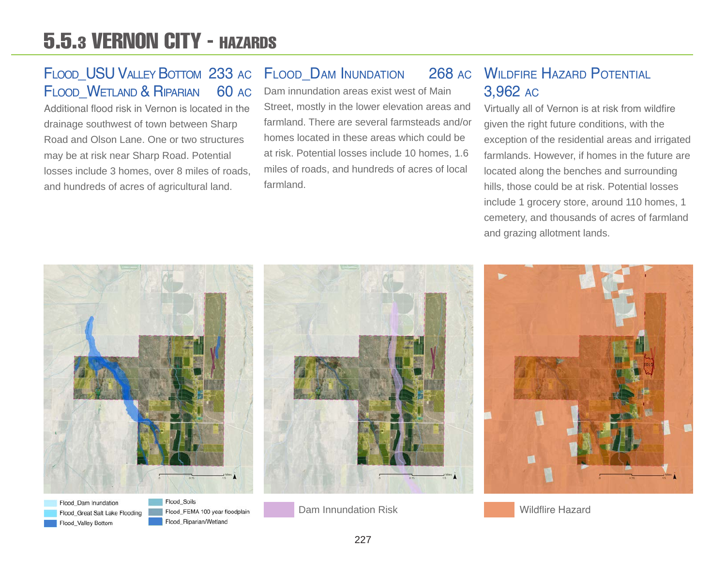### 5.5.3 VERNON CITY - HAZARDS

### FLOOD USU VALLEY BOTTOM 233 AC FLOOD WETLAND & RIPARIAN 60 AC

Additional flood risk in Vernon is located in the drainage southwest of town between Sharp Road and Olson Lane. One or two structures may be at risk near Sharp Road. Potential losses include 3 homes, over 8 miles of roads, and hundreds of acres of agricultural land.

### FLOOD DAM INUNDATION 268 AC

Dam innundation areas exist west of Main Street, mostly in the lower elevation areas and farmland. There are several farmsteads and/or homes located in these areas which could be at risk. Potential losses include 10 homes, 1.6 miles of roads, and hundreds of acres of local farmland.

### WII DEIRE HAZARD POTENTIAL 3,962 ac

Virtually all of Vernon is at risk from wildfire given the right future conditions, with the exception of the residential areas and irrigated farmlands. However, if homes in the future are located along the benches and surrounding hills, those could be at risk. Potential losses include 1 grocery store, around 110 homes, 1 cemetery, and thousands of acres of farmland and grazing allotment lands.



Flood Dam Inundation Flood\_Great Salt Lake Flooding Flood\_Valley Bottom

Flood Soils Flood\_FEMA 100 year floodplain Flood\_Riparian/Wetland

Dam Innundation Risk Wildflire Hazard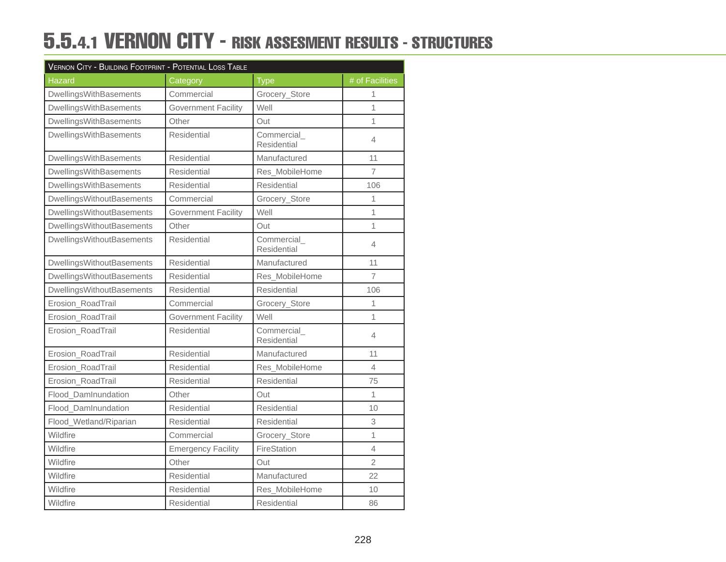### 5.5.4.1 VERNON CITY - RISK ASSESMENT RESULTS - STRUCTURES

| VERNON CITY - BUILDING FOOTPRINT - POTENTIAL LOSS TABLE |                            |                                  |                 |  |  |
|---------------------------------------------------------|----------------------------|----------------------------------|-----------------|--|--|
| <b>Hazard</b>                                           | Category                   | <b>Type</b>                      | # of Facilities |  |  |
| DwellingsWithBasements                                  | Commercial                 | Grocery_Store                    | 1               |  |  |
| DwellingsWithBasements                                  | <b>Government Facility</b> | Well                             | 1               |  |  |
| DwellingsWithBasements                                  | Other                      | Out                              | 1               |  |  |
| DwellingsWithBasements                                  | Residential                | Commercial_<br>Residential       | 4               |  |  |
| DwellingsWithBasements                                  | Residential                | Manufactured                     | 11              |  |  |
| DwellingsWithBasements                                  | Residential                | Res_MobileHome                   | $\overline{7}$  |  |  |
| <b>DwellingsWithBasements</b>                           | Residential                | Residential                      | 106             |  |  |
| <b>DwellingsWithoutBasements</b>                        | Commercial                 | Grocery_Store                    | 1               |  |  |
| <b>DwellingsWithoutBasements</b>                        | <b>Government Facility</b> | Well                             | 1               |  |  |
| <b>DwellingsWithoutBasements</b>                        | Other                      | Out                              | 1               |  |  |
| <b>DwellingsWithoutBasements</b>                        | Residential                | Commercial<br><b>Residential</b> | 4               |  |  |
| DwellingsWithoutBasements                               | Residential                | Manufactured                     | 11              |  |  |
| <b>DwellingsWithoutBasements</b>                        | Residential                | Res_MobileHome                   | $\overline{7}$  |  |  |
| <b>DwellingsWithoutBasements</b>                        | Residential                | <b>Residential</b>               | 106             |  |  |
| Erosion RoadTrail                                       | Commercial                 | Grocery_Store                    | 1               |  |  |
| Erosion_RoadTrail                                       | <b>Government Facility</b> | Well                             | 1               |  |  |
| Erosion_RoadTrail                                       | Residential                | Commercial<br>Residential        | 4               |  |  |
| Erosion_RoadTrail                                       | Residential                | Manufactured                     | 11              |  |  |
| Erosion_RoadTrail                                       | Residential                | Res MobileHome                   | $\overline{4}$  |  |  |
| Erosion RoadTrail                                       | Residential                | Residential                      | 75              |  |  |
| Flood DamInundation                                     | Other                      | Out                              | $\mathbf{1}$    |  |  |
| Flood DamInundation                                     | Residential                | Residential                      | 10              |  |  |
| Flood_Wetland/Riparian                                  | Residential                | Residential                      | 3               |  |  |
| Wildfire                                                | Commercial                 | Grocery_Store                    | $\overline{1}$  |  |  |
| Wildfire                                                | <b>Emergency Facility</b>  | FireStation                      | $\overline{4}$  |  |  |
| Wildfire                                                | Other                      | Out                              | $\overline{2}$  |  |  |
| Wildfire                                                | Residential                | Manufactured                     | 22              |  |  |
| Wildfire                                                | Residential                | Res_MobileHome                   | 10              |  |  |
| Wildfire                                                | Residential                | Residential                      | 86              |  |  |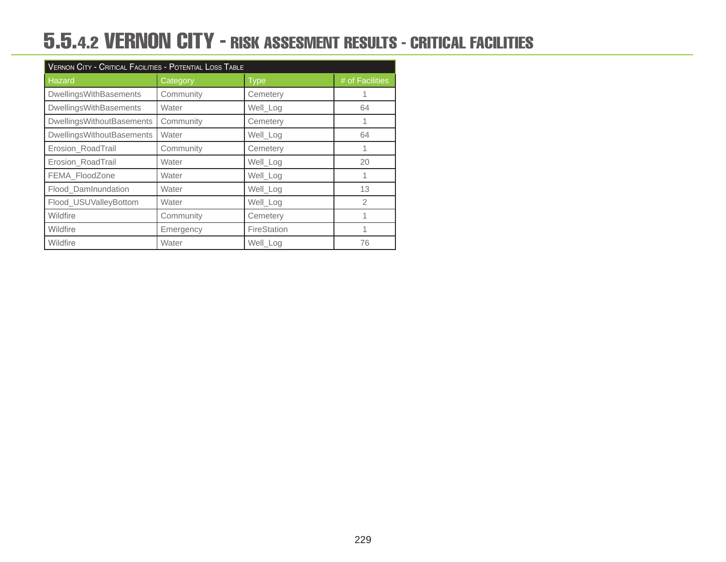### 5.5.4.2 VERNON CITY - RISK ASSESMENT RESULTS - CRITICAL FACILITIES

| VERNON CITY - CRITICAL FACILITIES - POTENTIAL LOSS TABLE |           |                   |                 |  |  |
|----------------------------------------------------------|-----------|-------------------|-----------------|--|--|
| Hazard                                                   | Category  | Type <sub>i</sub> | # of Facilities |  |  |
| DwellingsWithBasements                                   | Community | Cemetery          |                 |  |  |
| DwellingsWithBasements                                   | Water     | Well_Log          | 64              |  |  |
| <b>DwellingsWithoutBasements</b>                         | Community | Cemetery          |                 |  |  |
| <b>DwellingsWithoutBasements</b>                         | Water     | Well Log          | 64              |  |  |
| Erosion_RoadTrail                                        | Community | Cemetery          |                 |  |  |
| Erosion_RoadTrail                                        | Water     | Well_Log          | 20              |  |  |
| FEMA_FloodZone                                           | Water     | Well_Log          | 1               |  |  |
| Flood DamInundation                                      | Water     | Well_Log          | 13              |  |  |
| Flood_USUValleyBottom                                    | Water     | Well_Log          | $\overline{2}$  |  |  |
| Wildfire                                                 | Community | Cemetery          |                 |  |  |
| Wildfire                                                 | Emergency | FireStation       | 1               |  |  |
| Wildfire                                                 | Water     | Well_Log          | 76              |  |  |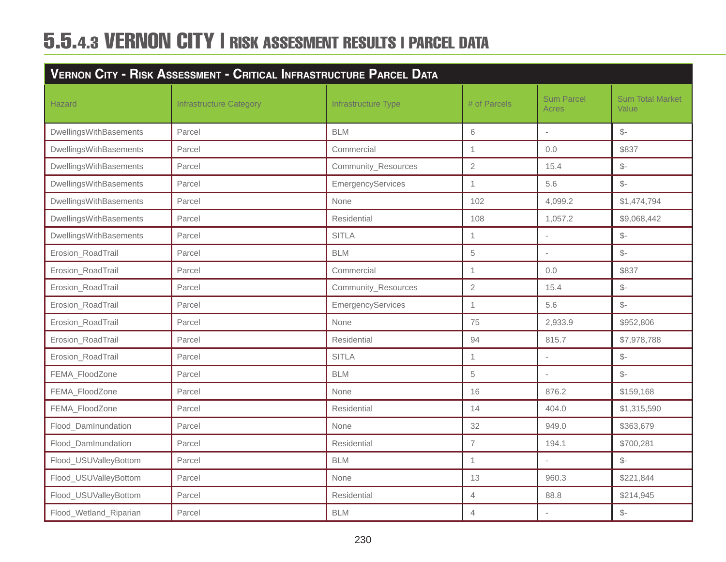| VERNON CITY - RISK ASSESSMENT - CRITICAL INFRASTRUCTURE PARCEL DATA |                                |                     |                          |                            |                                         |
|---------------------------------------------------------------------|--------------------------------|---------------------|--------------------------|----------------------------|-----------------------------------------|
| <b>Hazard</b>                                                       | <b>Infrastructure Category</b> | Infrastructure Type | # of Parcels             | <b>Sum Parcel</b><br>Acres | <b>Sum Total Market</b><br><b>Value</b> |
| DwellingsWithBasements                                              | Parcel                         | <b>BLM</b>          | 6                        | L,                         | $\mathcal{S}$ -                         |
| DwellingsWithBasements                                              | Parcel                         | Commercial          | $\mathbf{1}$             | 0.0                        | \$837                                   |
| DwellingsWithBasements                                              | Parcel                         | Community_Resources | $\mathbf{2}$             | 15.4                       | $\frac{2}{3}$                           |
| DwellingsWithBasements                                              | Parcel                         | EmergencyServices   | $\mathbf 1$              | 5.6                        | $\mathcal{S}$ -                         |
| DwellingsWithBasements                                              | Parcel                         | None                | 102                      | 4,099.2                    | \$1,474,794                             |
| DwellingsWithBasements                                              | Parcel                         | Residential         | 108                      | 1,057.2                    | \$9,068,442                             |
| DwellingsWithBasements                                              | Parcel                         | <b>SITLA</b>        | $\mathbf{1}$             |                            | $\mathcal{S}$ -                         |
| Erosion_RoadTrail                                                   | Parcel                         | <b>BLM</b>          | 5                        |                            | $\mathcal{S}$ -                         |
| Erosion_RoadTrail                                                   | Parcel                         | Commercial          | $\mathbf{1}$             | 0.0                        | \$837                                   |
| Erosion_RoadTrail                                                   | Parcel                         | Community_Resources | $\overline{2}$           | 15.4                       | $\mathcal{S}$ -                         |
| Erosion_RoadTrail                                                   | Parcel                         | EmergencyServices   | $\mathbf{1}$             | 5.6                        | $\mathcal{S}$ -                         |
| Erosion_RoadTrail                                                   | Parcel                         | None                | 75                       | 2,933.9                    | \$952,806                               |
| Erosion_RoadTrail                                                   | Parcel                         | Residential         | 94                       | 815.7                      | \$7,978,788                             |
| Erosion_RoadTrail                                                   | Parcel                         | <b>SITLA</b>        | $\mathbf{1}$             |                            | $\frac{2}{2}$                           |
| FEMA_FloodZone                                                      | Parcel                         | <b>BLM</b>          | 5                        |                            | $\mathcal{S}$ -                         |
| FEMA_FloodZone                                                      | Parcel                         | None                | 16                       | 876.2                      | \$159,168                               |
| FEMA_FloodZone                                                      | Parcel                         | Residential         | 14                       | 404.0                      | \$1,315,590                             |
| Flood_DamInundation                                                 | Parcel                         | None                | 32                       | 949.0                      | \$363,679                               |
| Flood_DamInundation                                                 | Parcel                         | Residential         | $\overline{\mathcal{L}}$ | 194.1                      | \$700,281                               |
| Flood_USUValleyBottom                                               | Parcel                         | <b>BLM</b>          | $\mathbf 1$              |                            | $\mathcal{S}$ -                         |
| Flood_USUValleyBottom                                               | Parcel                         | None                | 13                       | 960.3                      | \$221,844                               |
| Flood_USUValleyBottom                                               | Parcel                         | Residential         | $\overline{4}$           | 88.8                       | \$214,945                               |
| Flood_Wetland_Riparian                                              | Parcel                         | <b>BLM</b>          | $\overline{4}$           |                            | $\mathcal{L}$                           |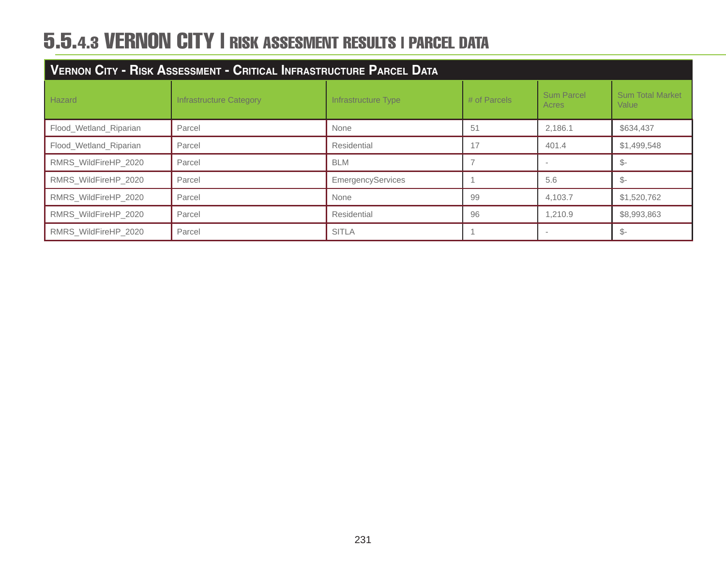| VERNON CITY - RISK ASSESSMENT - CRITICAL INFRASTRUCTURE PARCEL DATA |                         |                     |              |                            |                                  |
|---------------------------------------------------------------------|-------------------------|---------------------|--------------|----------------------------|----------------------------------|
| Hazard                                                              | Infrastructure Category | Infrastructure Type | # of Parcels | <b>Sum Parcel</b><br>Acres | <b>Sum Total Market</b><br>Value |
| Flood_Wetland_Riparian                                              | Parcel                  | None                | 51           | 2,186.1                    | \$634,437                        |
| Flood_Wetland_Riparian                                              | Parcel                  | Residential         | 17           | 401.4                      | \$1,499,548                      |
| RMRS WildFireHP 2020                                                | Parcel                  | <b>BLM</b>          |              |                            | $\mathbb{S}^-$                   |
| RMRS_WildFireHP_2020                                                | Parcel                  | EmergencyServices   |              | 5.6                        | -\$                              |
| RMRS_WildFireHP_2020                                                | Parcel                  | None                | 99           | 4,103.7                    | \$1,520,762                      |
| RMRS_WildFireHP_2020                                                | Parcel                  | Residential         | 96           | 1,210.9                    | \$8,993,863                      |
| RMRS_WildFireHP_2020                                                | Parcel                  | <b>SITLA</b>        |              |                            | \$-                              |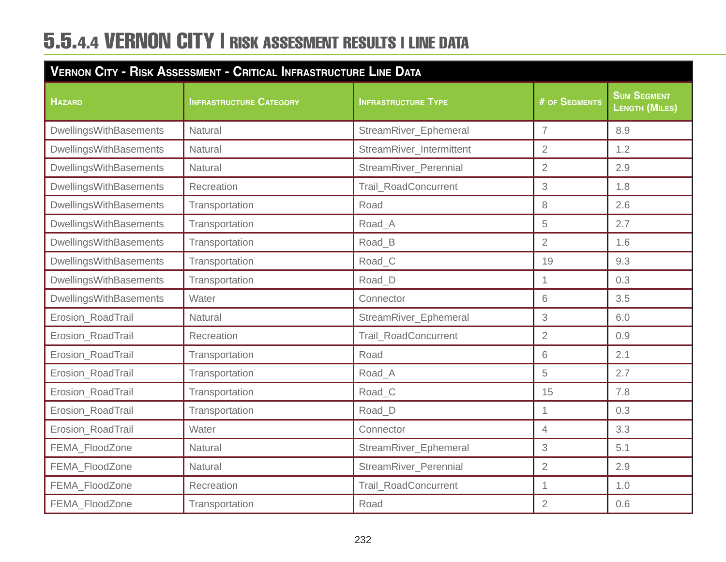| VERNON CITY - RISK ASSESSMENT - CRITICAL INFRASTRUCTURE LINE DATA |                                |                            |                      |                                             |  |
|-------------------------------------------------------------------|--------------------------------|----------------------------|----------------------|---------------------------------------------|--|
| <b>HAZARD</b>                                                     | <b>INFRASTRUCTURE CATEGORY</b> | <b>INFRASTRUCTURE TYPE</b> | <b># OF SEGMENTS</b> | <b>SUM SEGMENT</b><br><b>LENGTH (MILES)</b> |  |
| DwellingsWithBasements                                            | Natural                        | StreamRiver_Ephemeral      | $\overline{7}$       | 8.9                                         |  |
| <b>DwellingsWithBasements</b>                                     | Natural                        | StreamRiver_Intermittent   | $\overline{2}$       | 1.2                                         |  |
| <b>DwellingsWithBasements</b>                                     | Natural                        | StreamRiver_Perennial      | $\overline{2}$       | 2.9                                         |  |
| <b>DwellingsWithBasements</b>                                     | Recreation                     | Trail_RoadConcurrent       | 3                    | 1.8                                         |  |
| <b>DwellingsWithBasements</b>                                     | Transportation                 | Road                       | 8                    | 2.6                                         |  |
| <b>DwellingsWithBasements</b>                                     | Transportation                 | Road_A                     | 5                    | 2.7                                         |  |
| DwellingsWithBasements                                            | Transportation                 | Road_B                     | $\overline{2}$       | 1.6                                         |  |
| <b>DwellingsWithBasements</b>                                     | Transportation                 | Road_C                     | 19                   | 9.3                                         |  |
| <b>DwellingsWithBasements</b>                                     | Transportation                 | Road_D                     | 1                    | 0.3                                         |  |
| DwellingsWithBasements                                            | Water                          | Connector                  | 6                    | 3.5                                         |  |
| Erosion_RoadTrail                                                 | Natural                        | StreamRiver_Ephemeral      | 3                    | 6.0                                         |  |
| Erosion_RoadTrail                                                 | Recreation                     | Trail_RoadConcurrent       | $\overline{2}$       | 0.9                                         |  |
| Erosion_RoadTrail                                                 | Transportation                 | Road                       | 6                    | 2.1                                         |  |
| Erosion_RoadTrail                                                 | Transportation                 | Road_A                     | 5                    | 2.7                                         |  |
| Erosion_RoadTrail                                                 | Transportation                 | Road_C                     | 15                   | 7.8                                         |  |
| Erosion_RoadTrail                                                 | Transportation                 | Road_D                     | $\overline{1}$       | 0.3                                         |  |
| Erosion_RoadTrail                                                 | Water                          | Connector                  | $\overline{4}$       | 3.3                                         |  |
| FEMA_FloodZone                                                    | Natural                        | StreamRiver_Ephemeral      | 3                    | 5.1                                         |  |
| FEMA FloodZone                                                    | Natural                        | StreamRiver_Perennial      | $\overline{2}$       | 2.9                                         |  |
| FEMA_FloodZone                                                    | Recreation                     | Trail_RoadConcurrent       | $\mathbf 1$          | 1.0                                         |  |
| FEMA_FloodZone                                                    | Transportation                 | Road                       | $\overline{2}$       | 0.6                                         |  |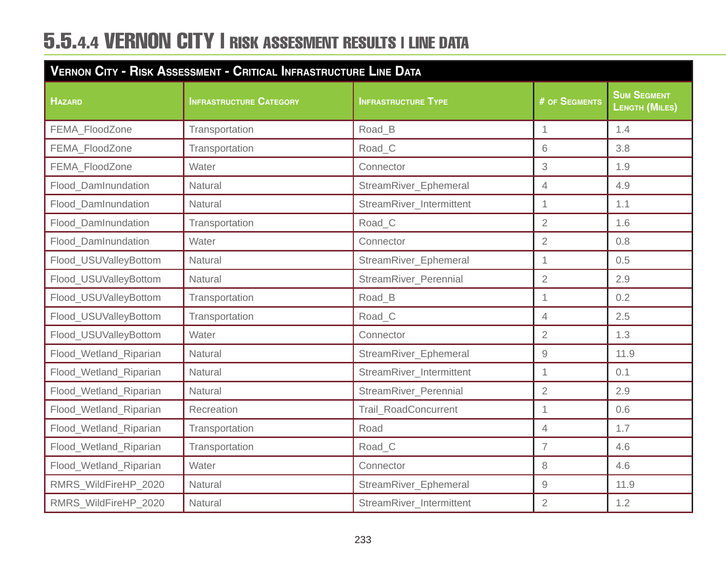| VERNON CITY - RISK ASSESSMENT - CRITICAL INFRASTRUCTURE LINE DATA |                                |                            |                      |                                      |  |
|-------------------------------------------------------------------|--------------------------------|----------------------------|----------------------|--------------------------------------|--|
| <b>HAZARD</b>                                                     | <b>INFRASTRUCTURE CATEGORY</b> | <b>INFRASTRUCTURE TYPE</b> | <b># OF SEGMENTS</b> | <b>SUM SEGMENT</b><br>LENGTH (MILES) |  |
| FEMA_FloodZone                                                    | Transportation                 | Road B                     | 1                    | 1.4                                  |  |
| FEMA_FloodZone                                                    | Transportation                 | Road C                     | 6                    | 3.8                                  |  |
| FEMA_FloodZone                                                    | Water                          | Connector                  | 3                    | 1.9                                  |  |
| Flood_DamInundation                                               | Natural                        | StreamRiver_Ephemeral      | $\overline{4}$       | 4.9                                  |  |
| Flood DamInundation                                               | <b>Natural</b>                 | StreamRiver Intermittent   | $\overline{1}$       | 1.1                                  |  |
| Flood DamInundation                                               | Transportation                 | Road C                     | $\overline{2}$       | 1.6                                  |  |
| Flood DamInundation                                               | Water                          | Connector                  | $\overline{2}$       | 0.8                                  |  |
| Flood_USUValleyBottom                                             | Natural                        | StreamRiver_Ephemeral      | 1                    | 0.5                                  |  |
| Flood_USUValleyBottom                                             | Natural                        | StreamRiver_Perennial      | $\overline{2}$       | 2.9                                  |  |
| Flood_USUValleyBottom                                             | Transportation                 | Road_B                     | 1                    | 0.2                                  |  |
| Flood_USUValleyBottom                                             | Transportation                 | Road_C                     | $\overline{4}$       | 2.5                                  |  |
| Flood_USUValleyBottom                                             | Water                          | Connector                  | $\overline{2}$       | 1.3                                  |  |
| Flood_Wetland_Riparian                                            | <b>Natural</b>                 | StreamRiver_Ephemeral      | 9                    | 11.9                                 |  |
| Flood_Wetland_Riparian                                            | Natural                        | StreamRiver_Intermittent   | $\overline{1}$       | 0.1                                  |  |
| Flood_Wetland_Riparian                                            | Natural                        | StreamRiver_Perennial      | $\overline{2}$       | 2.9                                  |  |
| Flood_Wetland_Riparian                                            | Recreation                     | Trail_RoadConcurrent       | $\overline{1}$       | 0.6                                  |  |
| Flood_Wetland_Riparian                                            | Transportation                 | Road                       | $\overline{4}$       | 1.7                                  |  |
| Flood_Wetland_Riparian                                            | Transportation                 | Road C                     | $\overline{7}$       | 4.6                                  |  |
| Flood_Wetland_Riparian                                            | Water                          | Connector                  | $\,8\,$              | 4.6                                  |  |
| RMRS_WildFireHP_2020                                              | Natural                        | StreamRiver_Ephemeral      | $\hbox{9}$           | 11.9                                 |  |
| RMRS_WildFireHP_2020                                              | Natural                        | StreamRiver_Intermittent   | $\overline{2}$       | 1.2                                  |  |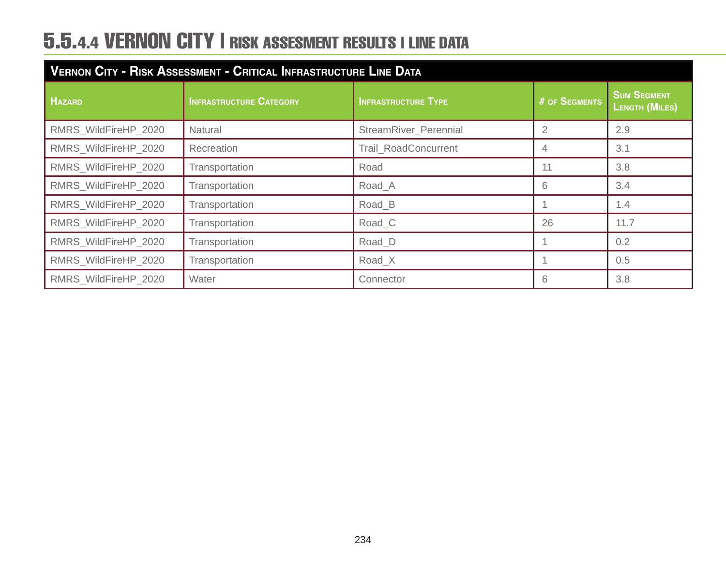| VERNON CITY - RISK ASSESSMENT - CRITICAL INFRASTRUCTURE LINE DATA |                                |                             |               |                                             |  |
|-------------------------------------------------------------------|--------------------------------|-----------------------------|---------------|---------------------------------------------|--|
| <b>HAZARD</b>                                                     | <b>INFRASTRUCTURE CATEGORY</b> | <b>INFRASTRUCTURE TYPE</b>  | # OF SEGMENTS | <b>SUM SEGMENT</b><br><b>LENGTH (MILES)</b> |  |
| RMRS_WildFireHP_2020                                              | <b>Natural</b>                 | StreamRiver_Perennial       | 2             | 2.9                                         |  |
| RMRS WildFireHP 2020                                              | Recreation                     | <b>Trail RoadConcurrent</b> | 4             | 3.1                                         |  |
| RMRS_WildFireHP_2020                                              | Transportation                 | Road                        |               | 3.8                                         |  |
| RMRS_WildFireHP_2020                                              | Transportation                 | Road A                      | 6             | 3.4                                         |  |
| RMRS_WildFireHP_2020                                              | Transportation                 | Road_B                      |               | 1.4                                         |  |
| RMRS WildFireHP 2020                                              | Transportation                 | Road <sub>C</sub>           | 26            | 11.7                                        |  |
| RMRS_WildFireHP_2020                                              | Transportation                 | Road_D                      |               | 0.2                                         |  |
| RMRS_WildFireHP_2020                                              | Transportation                 | Road X                      |               | 0.5                                         |  |
| RMRS WildFireHP 2020                                              | Water                          | Connector                   | 6             | 3.8                                         |  |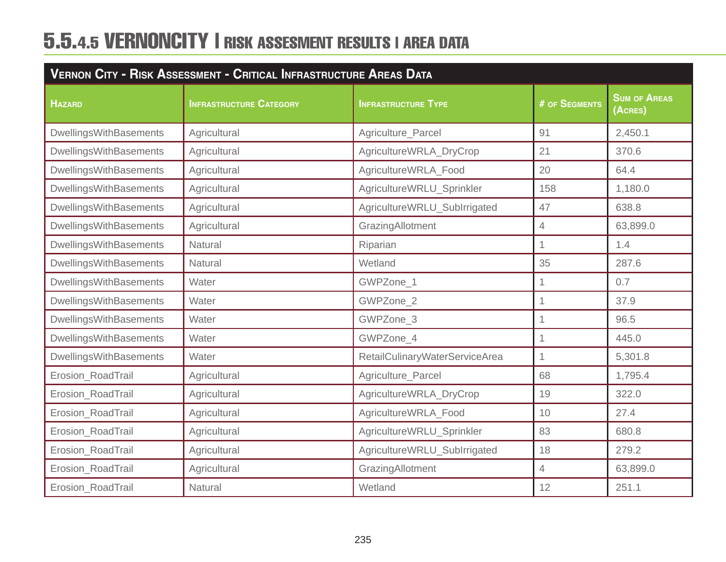| <b>VERNON CITY - RISK ASSESSMENT - CRITICAL INFRASTRUCTURE AREAS DATA</b> |                                |                                |                |                                |
|---------------------------------------------------------------------------|--------------------------------|--------------------------------|----------------|--------------------------------|
| <b>HAZARD</b>                                                             | <b>INFRASTRUCTURE CATEGORY</b> | <b>INFRASTRUCTURE TYPE</b>     | # OF SEGMENTS  | <b>SUM OF AREAS</b><br>(ACRES) |
| DwellingsWithBasements                                                    | Agricultural                   | Agriculture_Parcel             | 91             | 2,450.1                        |
| <b>DwellingsWithBasements</b>                                             | Agricultural                   | AgricultureWRLA_DryCrop        | 21             | 370.6                          |
| DwellingsWithBasements                                                    | Agricultural                   | AgricultureWRLA_Food           | 20             | 64.4                           |
| <b>DwellingsWithBasements</b>                                             | Agricultural                   | AgricultureWRLU_Sprinkler      | 158            | 1,180.0                        |
| <b>DwellingsWithBasements</b>                                             | Agricultural                   | AgricultureWRLU_SubIrrigated   | 47             | 638.8                          |
| <b>DwellingsWithBasements</b>                                             | Agricultural                   | GrazingAllotment               | $\overline{4}$ | 63,899.0                       |
| <b>DwellingsWithBasements</b>                                             | Natural                        | Riparian                       | 1              | 1.4                            |
| DwellingsWithBasements                                                    | Natural                        | Wetland                        | 35             | 287.6                          |
| DwellingsWithBasements                                                    | Water                          | GWPZone_1                      | $\overline{1}$ | 0.7                            |
| <b>DwellingsWithBasements</b>                                             | Water                          | GWPZone 2                      | 1              | 37.9                           |
| <b>DwellingsWithBasements</b>                                             | Water                          | GWPZone_3                      | 1              | 96.5                           |
| <b>DwellingsWithBasements</b>                                             | Water                          | GWPZone_4                      | 1              | 445.0                          |
| <b>DwellingsWithBasements</b>                                             | Water                          | RetailCulinaryWaterServiceArea | $\overline{1}$ | 5,301.8                        |
| Erosion_RoadTrail                                                         | Agricultural                   | Agriculture_Parcel             | 68             | 1,795.4                        |
| Erosion_RoadTrail                                                         | Agricultural                   | AgricultureWRLA_DryCrop        | 19             | 322.0                          |
| Erosion_RoadTrail                                                         | Agricultural                   | AgricultureWRLA_Food           | 10             | 27.4                           |
| Erosion_RoadTrail                                                         | Agricultural                   | AgricultureWRLU_Sprinkler      | 83             | 680.8                          |
| Erosion_RoadTrail                                                         | Agricultural                   | AgricultureWRLU_SubIrrigated   | 18             | 279.2                          |
| Erosion_RoadTrail                                                         | Agricultural                   | GrazingAllotment               | $\overline{4}$ | 63,899.0                       |
| Erosion_RoadTrail                                                         | Natural                        | Wetland                        | 12             | 251.1                          |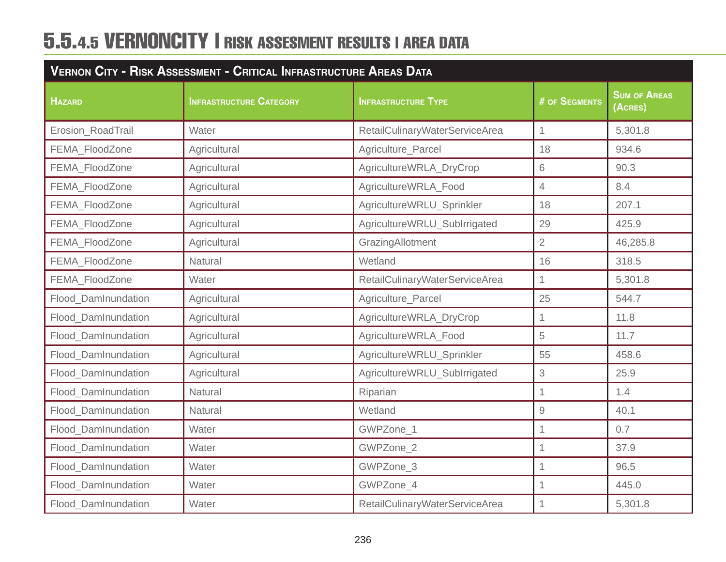| VERNON CITY - RISK ASSESSMENT - CRITICAL INFRASTRUCTURE AREAS DATA |                                |                                |                     |                                                                 |  |
|--------------------------------------------------------------------|--------------------------------|--------------------------------|---------------------|-----------------------------------------------------------------|--|
| <b>HAZARD</b>                                                      | <b>INFRASTRUCTURE CATEGORY</b> | <b>INFRASTRUCTURE TYPE</b>     | # OF SEGMENTS       | <b>SUM OF AREAS</b><br>$\overline{(\overline{\mathsf{ACRES}})}$ |  |
| Erosion_RoadTrail                                                  | Water                          | RetailCulinaryWaterServiceArea | $\mathbf{1}$        | 5,301.8                                                         |  |
| <b>FEMA FloodZone</b>                                              | Agricultural                   | Agriculture_Parcel             | 18                  | 934.6                                                           |  |
| FEMA_FloodZone                                                     | Agricultural                   | AgricultureWRLA_DryCrop        | 6                   | 90.3                                                            |  |
| FEMA_FloodZone                                                     | Agricultural                   | AgricultureWRLA_Food           | $\overline{4}$      | 8.4                                                             |  |
| FEMA_FloodZone                                                     | Agricultural                   | AgricultureWRLU_Sprinkler      | 18                  | 207.1                                                           |  |
| FEMA_FloodZone                                                     | Agricultural                   | AgricultureWRLU_SubIrrigated   | 29                  | 425.9                                                           |  |
| FEMA_FloodZone                                                     | Agricultural                   | GrazingAllotment               | $\overline{2}$      | 46,285.8                                                        |  |
| FEMA FloodZone                                                     | <b>Natural</b>                 | Wetland                        | 16                  | 318.5                                                           |  |
| FEMA FloodZone                                                     | Water                          | RetailCulinaryWaterServiceArea | $\mathbf{1}$        | 5,301.8                                                         |  |
| Flood DamInundation                                                | Agricultural                   | Agriculture_Parcel             | 25                  | 544.7                                                           |  |
| Flood DamInundation                                                | Agricultural                   | AgricultureWRLA_DryCrop        | $\overline{1}$      | 11.8                                                            |  |
| Flood_DamInundation                                                | Agricultural                   | AgricultureWRLA_Food           | 5                   | 11.7                                                            |  |
| <b>Flood DamInundation</b>                                         | Agricultural                   | AgricultureWRLU_Sprinkler      | 55                  | 458.6                                                           |  |
| Flood_DamInundation                                                | Agricultural                   | AgricultureWRLU_SubIrrigated   | $\,$ 3 $\,$         | 25.9                                                            |  |
| Flood_DamInundation                                                | Natural                        | Riparian                       | $\overline{1}$      | 1.4                                                             |  |
| Flood_DamInundation                                                | Natural                        | Wetland                        | $\hbox{${\cal G}$}$ | 40.1                                                            |  |
| Flood_DamInundation                                                | Water                          | GWPZone_1                      | $\overline{1}$      | 0.7                                                             |  |
| Flood DamInundation                                                | Water                          | GWPZone 2                      | $\overline{1}$      | 37.9                                                            |  |
| Flood_DamInundation                                                | Water                          | GWPZone_3                      | 1                   | 96.5                                                            |  |
| <b>Flood DamInundation</b>                                         | Water                          | GWPZone 4                      | $\mathbf{1}$        | 445.0                                                           |  |
| Flood_DamInundation                                                | Water                          | RetailCulinaryWaterServiceArea | $\overline{1}$      | 5,301.8                                                         |  |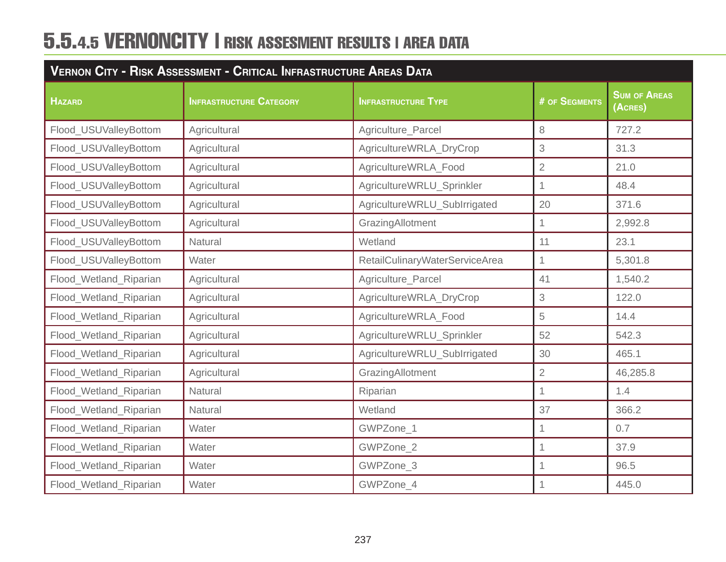| <b>VERNON CITY - RISK ASSESSMENT - CRITICAL INFRASTRUCTURE AREAS DATA</b> |                                |                                |                |                                |
|---------------------------------------------------------------------------|--------------------------------|--------------------------------|----------------|--------------------------------|
| <b>HAZARD</b>                                                             | <b>INFRASTRUCTURE CATEGORY</b> | <b>INFRASTRUCTURE TYPE</b>     | # OF SEGMENTS  | <b>SUM OF AREAS</b><br>(ACRES) |
| Flood_USUValleyBottom                                                     | Agricultural                   | Agriculture_Parcel             | $\,8\,$        | 727.2                          |
| Flood_USUValleyBottom                                                     | Agricultural                   | AgricultureWRLA_DryCrop        | 3              | 31.3                           |
| Flood_USUValleyBottom                                                     | Agricultural                   | AgricultureWRLA_Food           | $\overline{2}$ | 21.0                           |
| Flood_USUValleyBottom                                                     | Agricultural                   | AgricultureWRLU_Sprinkler      | 1              | 48.4                           |
| Flood_USUValleyBottom                                                     | Agricultural                   | AgricultureWRLU_SubIrrigated   | 20             | 371.6                          |
| Flood_USUValleyBottom                                                     | Agricultural                   | GrazingAllotment               | 1              | 2,992.8                        |
| Flood_USUValleyBottom                                                     | Natural                        | Wetland                        | 11             | 23.1                           |
| Flood_USUValleyBottom                                                     | Water                          | RetailCulinaryWaterServiceArea | $\overline{1}$ | 5,301.8                        |
| Flood_Wetland_Riparian                                                    | Agricultural                   | Agriculture_Parcel             | 41             | 1,540.2                        |
| Flood_Wetland_Riparian                                                    | Agricultural                   | AgricultureWRLA_DryCrop        | $\sqrt{3}$     | 122.0                          |
| Flood_Wetland_Riparian                                                    | Agricultural                   | AgricultureWRLA_Food           | 5              | 14.4                           |
| Flood_Wetland_Riparian                                                    | Agricultural                   | AgricultureWRLU_Sprinkler      | 52             | 542.3                          |
| Flood_Wetland_Riparian                                                    | Agricultural                   | AgricultureWRLU_SubIrrigated   | 30             | 465.1                          |
| Flood_Wetland_Riparian                                                    | Agricultural                   | GrazingAllotment               | $\overline{2}$ | 46,285.8                       |
| Flood_Wetland_Riparian                                                    | Natural                        | Riparian                       | $\overline{1}$ | 1.4                            |
| Flood_Wetland_Riparian                                                    | Natural                        | Wetland                        | 37             | 366.2                          |
| Flood_Wetland_Riparian                                                    | Water                          | GWPZone_1                      |                | 0.7                            |
| Flood_Wetland_Riparian                                                    | Water                          | GWPZone_2                      | 1              | 37.9                           |
| Flood_Wetland_Riparian                                                    | Water                          | GWPZone_3                      | $\overline{1}$ | 96.5                           |
| Flood_Wetland_Riparian                                                    | Water                          | GWPZone_4                      | 1              | 445.0                          |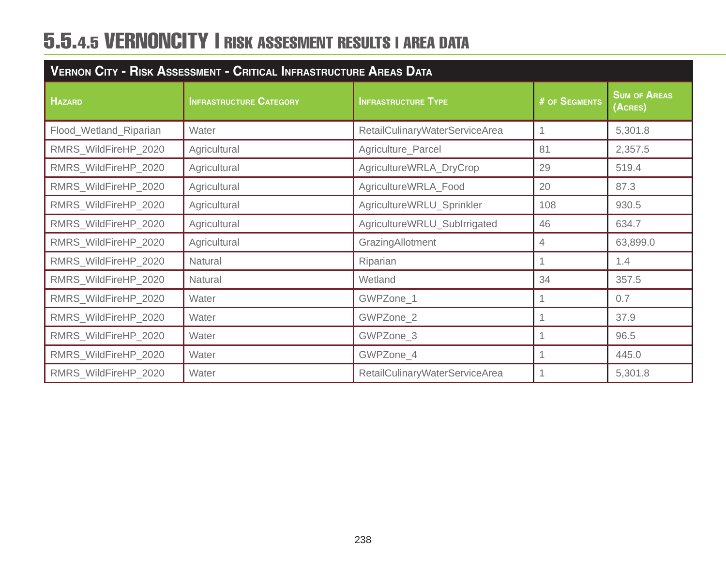| <b>VERNON CITY - RISK ASSESSMENT - CRITICAL INFRASTRUCTURE AREAS DATA</b> |                                |                                |               |                                |
|---------------------------------------------------------------------------|--------------------------------|--------------------------------|---------------|--------------------------------|
| <b>HAZARD</b>                                                             | <b>INFRASTRUCTURE CATEGORY</b> | <b>INFRASTRUCTURE TYPE</b>     | # OF SEGMENTS | <b>SUM OF AREAS</b><br>(Acres) |
| Flood_Wetland_Riparian                                                    | Water                          | RetailCulinaryWaterServiceArea |               | 5,301.8                        |
| RMRS_WildFireHP_2020                                                      | Agricultural                   | Agriculture_Parcel             | 81            | 2,357.5                        |
| RMRS_WildFireHP_2020                                                      | Agricultural                   | AgricultureWRLA_DryCrop        | 29            | 519.4                          |
| RMRS_WildFireHP_2020                                                      | Agricultural                   | AgricultureWRLA_Food           | 20            | 87.3                           |
| RMRS_WildFireHP_2020                                                      | Agricultural                   | AgricultureWRLU_Sprinkler      | 108           | 930.5                          |
| RMRS_WildFireHP_2020                                                      | Agricultural                   | AgricultureWRLU_SubIrrigated   | 46            | 634.7                          |
| RMRS_WildFireHP_2020                                                      | Agricultural                   | GrazingAllotment               | 4             | 63,899.0                       |
| RMRS_WildFireHP_2020                                                      | Natural                        | Riparian                       |               | 1.4                            |
| RMRS_WildFireHP_2020                                                      | Natural                        | Wetland                        | 34            | 357.5                          |
| RMRS_WildFireHP_2020                                                      | Water                          | GWPZone_1                      |               | 0.7                            |
| RMRS_WildFireHP_2020                                                      | Water                          | GWPZone_2                      |               | 37.9                           |
| RMRS_WildFireHP_2020                                                      | Water                          | GWPZone_3                      |               | 96.5                           |
| RMRS_WildFireHP_2020                                                      | Water                          | GWPZone_4                      |               | 445.0                          |
| RMRS_WildFireHP_2020                                                      | Water                          | RetailCulinaryWaterServiceArea |               | 5,301.8                        |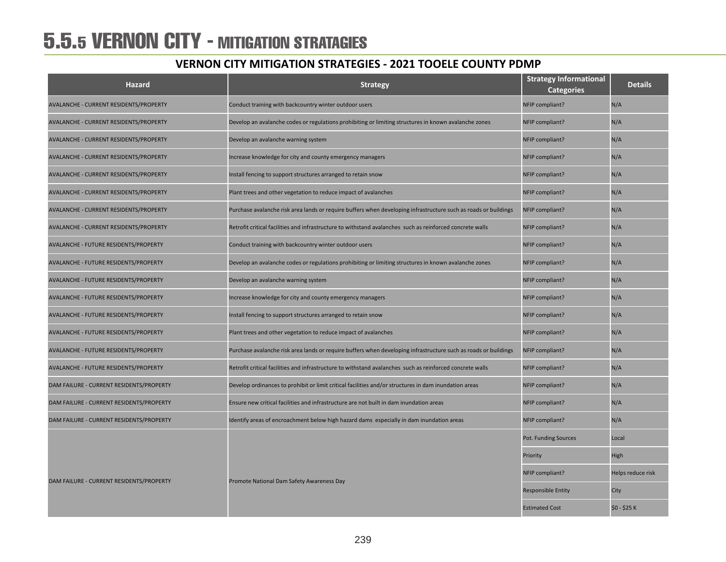### 5.5.5 VERNON CITY - MITIGATION STRATAGIES

| <b>Hazard</b>                            | <b>Strategy</b>                                                                                                 | <b>Strategy Informational</b><br><b>Categories</b> | <b>Details</b>    |
|------------------------------------------|-----------------------------------------------------------------------------------------------------------------|----------------------------------------------------|-------------------|
| AVALANCHE - CURRENT RESIDENTS/PROPERTY   | Conduct training with backcountry winter outdoor users                                                          | NFIP compliant?                                    | N/A               |
| AVALANCHE - CURRENT RESIDENTS/PROPERTY   | Develop an avalanche codes or regulations prohibiting or limiting structures in known avalanche zones           | NFIP compliant?                                    | N/A               |
| AVALANCHE - CURRENT RESIDENTS/PROPERTY   | Develop an avalanche warning system                                                                             | NFIP compliant?                                    | N/A               |
| AVALANCHE - CURRENT RESIDENTS/PROPERTY   | Increase knowledge for city and county emergency managers                                                       | NFIP compliant?                                    | N/A               |
| AVALANCHE - CURRENT RESIDENTS/PROPERTY   | Install fencing to support structures arranged to retain snow                                                   | NFIP compliant?                                    | N/A               |
| AVALANCHE - CURRENT RESIDENTS/PROPERTY   | Plant trees and other vegetation to reduce impact of avalanches                                                 | NFIP compliant?                                    | N/A               |
| AVALANCHE - CURRENT RESIDENTS/PROPERTY   | Purchase avalanche risk area lands or require buffers when developing infrastructure such as roads or buildings | NFIP compliant?                                    | N/A               |
| AVALANCHE - CURRENT RESIDENTS/PROPERTY   | Retrofit critical facilities and infrastructure to withstand avalanches such as reinforced concrete walls       | NFIP compliant?                                    | N/A               |
| AVALANCHE - FUTURE RESIDENTS/PROPERTY    | Conduct training with backcountry winter outdoor users                                                          | NFIP compliant?                                    | N/A               |
| AVALANCHE - FUTURE RESIDENTS/PROPERTY    | Develop an avalanche codes or regulations prohibiting or limiting structures in known avalanche zones           | NFIP compliant?                                    | N/A               |
| AVALANCHE - FUTURE RESIDENTS/PROPERTY    | Develop an avalanche warning system                                                                             | NFIP compliant?                                    | N/A               |
| AVALANCHE - FUTURE RESIDENTS/PROPERTY    | Increase knowledge for city and county emergency managers                                                       | NFIP compliant?                                    | N/A               |
| AVALANCHE - FUTURE RESIDENTS/PROPERTY    | Install fencing to support structures arranged to retain snow                                                   | NFIP compliant?                                    | N/A               |
| AVALANCHE - FUTURE RESIDENTS/PROPERTY    | Plant trees and other vegetation to reduce impact of avalanches                                                 | NFIP compliant?                                    | N/A               |
| AVALANCHE - FUTURE RESIDENTS/PROPERTY    | Purchase avalanche risk area lands or require buffers when developing infrastructure such as roads or buildings | NFIP compliant?                                    | N/A               |
| AVALANCHE - FUTURE RESIDENTS/PROPERTY    | Retrofit critical facilities and infrastructure to withstand avalanches such as reinforced concrete walls       | NFIP compliant?                                    | N/A               |
| DAM FAILURE - CURRENT RESIDENTS/PROPERTY | Develop ordinances to prohibit or limit critical facilities and/or structures in dam inundation areas           | NFIP compliant?                                    | N/A               |
| DAM FAILURE - CURRENT RESIDENTS/PROPERTY | Ensure new critical facilities and infrastructure are not built in dam inundation areas                         | NFIP compliant?                                    | N/A               |
| DAM FAILURE - CURRENT RESIDENTS/PROPERTY | Identify areas of encroachment below high hazard dams especially in dam inundation areas                        | NFIP compliant?                                    | N/A               |
|                                          |                                                                                                                 | Pot. Funding Sources                               | Local             |
|                                          |                                                                                                                 | Priority                                           | High              |
|                                          |                                                                                                                 | NFIP compliant?                                    | Helps reduce risk |
| DAM FAILURE - CURRENT RESIDENTS/PROPERTY | Promote National Dam Safety Awareness Day                                                                       | <b>Responsible Entity</b>                          | City              |
|                                          |                                                                                                                 | <b>Estimated Cost</b>                              | \$0 - \$25 K      |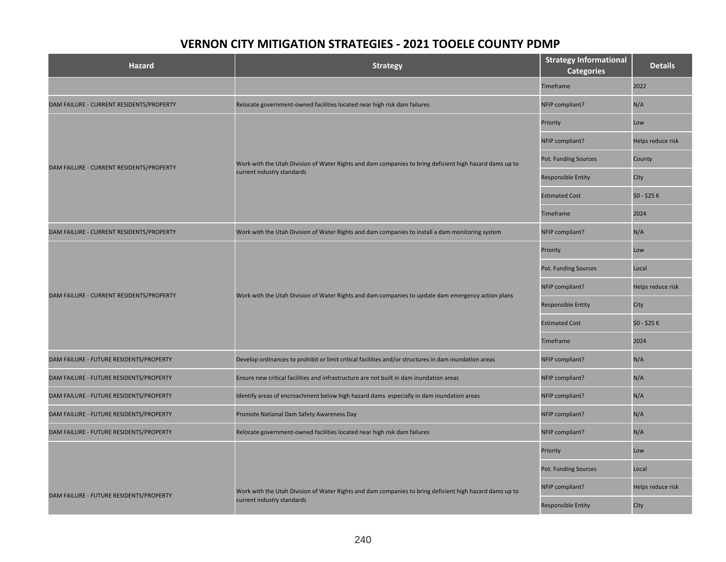| <b>Hazard</b>                            | <b>Strategy</b>                                                                                         | <b>Strategy Informational</b><br><b>Categories</b> | <b>Details</b>    |
|------------------------------------------|---------------------------------------------------------------------------------------------------------|----------------------------------------------------|-------------------|
|                                          |                                                                                                         | Timeframe                                          | 2022              |
| DAM FAILURE - CURRENT RESIDENTS/PROPERTY | Relocate government-owned facilities located near high risk dam failures                                | NFIP compliant?                                    | N/A               |
|                                          |                                                                                                         | Priority                                           | Low               |
|                                          |                                                                                                         | NFIP compliant?                                    | Helps reduce risk |
|                                          | Work with the Utah Division of Water Rights and dam companies to bring deficient high hazard dams up to | Pot. Funding Sources                               | County            |
| DAM FAILURE - CURRENT RESIDENTS/PROPERTY | current industry standards                                                                              | <b>Responsible Entity</b>                          | City              |
|                                          |                                                                                                         | <b>Estimated Cost</b>                              | \$0 - \$25 K      |
|                                          |                                                                                                         | <b>Timeframe</b>                                   | 2024              |
| DAM FAILURE - CURRENT RESIDENTS/PROPERTY | Work with the Utah Division of Water Rights and dam companies to install a dam monitoring system        | NFIP compliant?                                    | N/A               |
|                                          | Work with the Utah Division of Water Rights and dam companies to update dam emergency action plans      | Priority                                           | Low               |
|                                          |                                                                                                         | Pot. Funding Sources                               | Local             |
|                                          |                                                                                                         | NFIP compliant?                                    | Helps reduce risk |
| DAM FAILURE - CURRENT RESIDENTS/PROPERTY |                                                                                                         | <b>Responsible Entity</b>                          | City              |
|                                          |                                                                                                         | <b>Estimated Cost</b>                              | \$0 - \$25 K      |
|                                          |                                                                                                         | Timeframe                                          | 2024              |
| DAM FAILURE - FUTURE RESIDENTS/PROPERTY  | Develop ordinances to prohibit or limit critical facilities and/or structures in dam inundation areas   | NFIP compliant?                                    | N/A               |
| DAM FAILURE - FUTURE RESIDENTS/PROPERTY  | Ensure new critical facilities and infrastructure are not built in dam inundation areas                 | NFIP compliant?                                    | N/A               |
| DAM FAILURE - FUTURE RESIDENTS/PROPERTY  | Identify areas of encroachment below high hazard dams especially in dam inundation areas                | NFIP compliant?                                    | N/A               |
| DAM FAILURE - FUTURE RESIDENTS/PROPERTY  | Promote National Dam Safety Awareness Day                                                               | NFIP compliant?                                    | N/A               |
| DAM FAILURE - FUTURE RESIDENTS/PROPERTY  | Relocate government-owned facilities located near high risk dam failures                                | NFIP compliant?                                    | N/A               |
|                                          |                                                                                                         | Priority                                           | Low               |
|                                          |                                                                                                         | Pot. Funding Sources                               | Local             |
|                                          | Work with the Utah Division of Water Rights and dam companies to bring deficient high hazard dams up to | NFIP compliant?                                    | Helps reduce risk |
| DAM FAILURE - FUTURE RESIDENTS/PROPERTY  | current industry standards                                                                              | <b>Responsible Entity</b>                          | City              |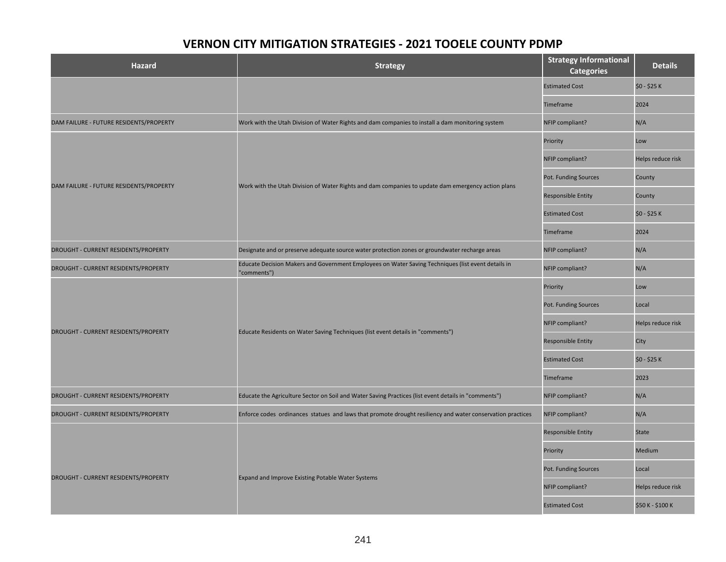| Hazard                                  | <b>Strategy</b>                                                                                                   | <b>Strategy Informational</b><br><b>Categories</b> | <b>Details</b>    |
|-----------------------------------------|-------------------------------------------------------------------------------------------------------------------|----------------------------------------------------|-------------------|
|                                         |                                                                                                                   | <b>Estimated Cost</b>                              | \$0 - \$25 K      |
|                                         |                                                                                                                   | Timeframe                                          | 2024              |
| DAM FAILURE - FUTURE RESIDENTS/PROPERTY | Work with the Utah Division of Water Rights and dam companies to install a dam monitoring system                  | NFIP compliant?                                    | N/A               |
|                                         |                                                                                                                   | Priority                                           | Low               |
|                                         |                                                                                                                   | NFIP compliant?                                    | Helps reduce risk |
|                                         |                                                                                                                   | Pot. Funding Sources                               | County            |
| DAM FAILURE - FUTURE RESIDENTS/PROPERTY | Work with the Utah Division of Water Rights and dam companies to update dam emergency action plans                | <b>Responsible Entity</b>                          | County            |
|                                         |                                                                                                                   | <b>Estimated Cost</b>                              | \$0 - \$25 K      |
|                                         |                                                                                                                   | Timeframe                                          | 2024              |
| DROUGHT - CURRENT RESIDENTS/PROPERTY    | Designate and or preserve adequate source water protection zones or groundwater recharge areas                    | NFIP compliant?                                    | N/A               |
| DROUGHT - CURRENT RESIDENTS/PROPERTY    | Educate Decision Makers and Government Employees on Water Saving Techniques (list event details in<br>"comments") | NFIP compliant?                                    | N/A               |
|                                         | Educate Residents on Water Saving Techniques (list event details in "comments")                                   | Priority                                           | Low               |
|                                         |                                                                                                                   | Pot. Funding Sources                               | Local             |
|                                         |                                                                                                                   | NFIP compliant?                                    | Helps reduce risk |
| DROUGHT - CURRENT RESIDENTS/PROPERTY    |                                                                                                                   | Responsible Entity                                 | City              |
|                                         |                                                                                                                   | <b>Estimated Cost</b>                              | \$0 - \$25 K      |
|                                         |                                                                                                                   | Timeframe                                          | 2023              |
| DROUGHT - CURRENT RESIDENTS/PROPERTY    | Educate the Agriculture Sector on Soil and Water Saving Practices (list event details in "comments")              | NFIP compliant?                                    | N/A               |
| DROUGHT - CURRENT RESIDENTS/PROPERTY    | Enforce codes ordinances statues and laws that promote drought resiliency and water conservation practices        | NFIP compliant?                                    | N/A               |
|                                         |                                                                                                                   | <b>Responsible Entity</b>                          | <b>State</b>      |
|                                         |                                                                                                                   | Priority                                           | Medium            |
|                                         |                                                                                                                   | Pot. Funding Sources                               | Local             |
| DROUGHT - CURRENT RESIDENTS/PROPERTY    | <b>Expand and Improve Existing Potable Water Systems</b>                                                          | NFIP compliant?                                    | Helps reduce risk |
|                                         |                                                                                                                   | <b>Estimated Cost</b>                              | \$50 K - \$100 K  |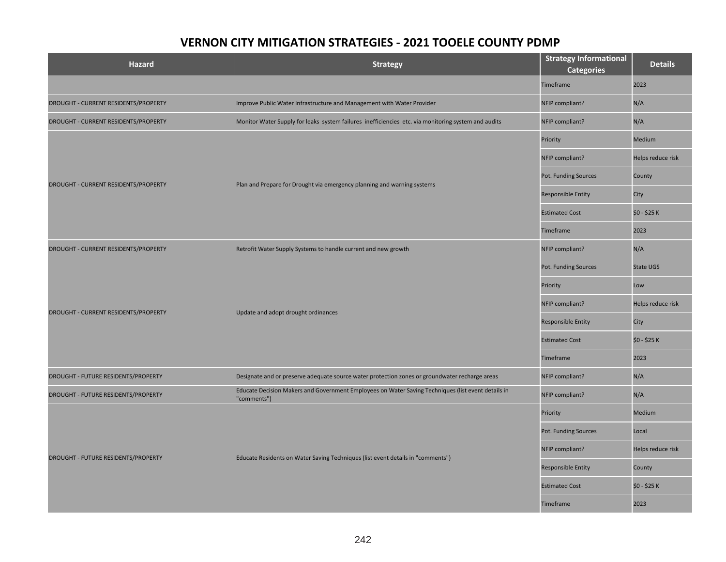| <b>Hazard</b>                        | <b>Strategy</b>                                                                                                   | <b>Strategy Informational</b><br><b>Categories</b> | <b>Details</b>    |
|--------------------------------------|-------------------------------------------------------------------------------------------------------------------|----------------------------------------------------|-------------------|
|                                      |                                                                                                                   | Timeframe                                          | 2023              |
| DROUGHT - CURRENT RESIDENTS/PROPERTY | Improve Public Water Infrastructure and Management with Water Provider                                            | NFIP compliant?                                    | N/A               |
| DROUGHT - CURRENT RESIDENTS/PROPERTY | Monitor Water Supply for leaks system failures inefficiencies etc. via monitoring system and audits               | NFIP compliant?                                    | N/A               |
|                                      |                                                                                                                   | Priority                                           | Medium            |
|                                      |                                                                                                                   | NFIP compliant?                                    | Helps reduce risk |
| DROUGHT - CURRENT RESIDENTS/PROPERTY | Plan and Prepare for Drought via emergency planning and warning systems                                           | Pot. Funding Sources                               | County            |
|                                      |                                                                                                                   | Responsible Entity                                 | City              |
|                                      |                                                                                                                   | <b>Estimated Cost</b>                              | \$0 - \$25 K      |
|                                      |                                                                                                                   | Timeframe                                          | 2023              |
| DROUGHT - CURRENT RESIDENTS/PROPERTY | Retrofit Water Supply Systems to handle current and new growth                                                    | NFIP compliant?                                    | N/A               |
|                                      | Update and adopt drought ordinances                                                                               | Pot. Funding Sources                               | <b>State UGS</b>  |
|                                      |                                                                                                                   | Priority                                           | Low               |
| DROUGHT - CURRENT RESIDENTS/PROPERTY |                                                                                                                   | NFIP compliant?                                    | Helps reduce risk |
|                                      |                                                                                                                   | <b>Responsible Entity</b>                          | City              |
|                                      |                                                                                                                   | <b>Estimated Cost</b>                              | \$0 - \$25 K      |
|                                      |                                                                                                                   | <b>Timeframe</b>                                   | 2023              |
| DROUGHT - FUTURE RESIDENTS/PROPERTY  | Designate and or preserve adequate source water protection zones or groundwater recharge areas                    | NFIP compliant?                                    | N/A               |
| DROUGHT - FUTURE RESIDENTS/PROPERTY  | Educate Decision Makers and Government Employees on Water Saving Techniques (list event details in<br>"comments") | NFIP compliant?                                    | N/A               |
|                                      |                                                                                                                   | Priority                                           | Medium            |
|                                      |                                                                                                                   | Pot. Funding Sources                               | Local             |
|                                      |                                                                                                                   | NFIP compliant?                                    | Helps reduce risk |
| DROUGHT - FUTURE RESIDENTS/PROPERTY  | Educate Residents on Water Saving Techniques (list event details in "comments")                                   | <b>Responsible Entity</b>                          | County            |
|                                      |                                                                                                                   | <b>Estimated Cost</b>                              | \$0 - \$25 K      |
|                                      |                                                                                                                   | Timeframe                                          | 2023              |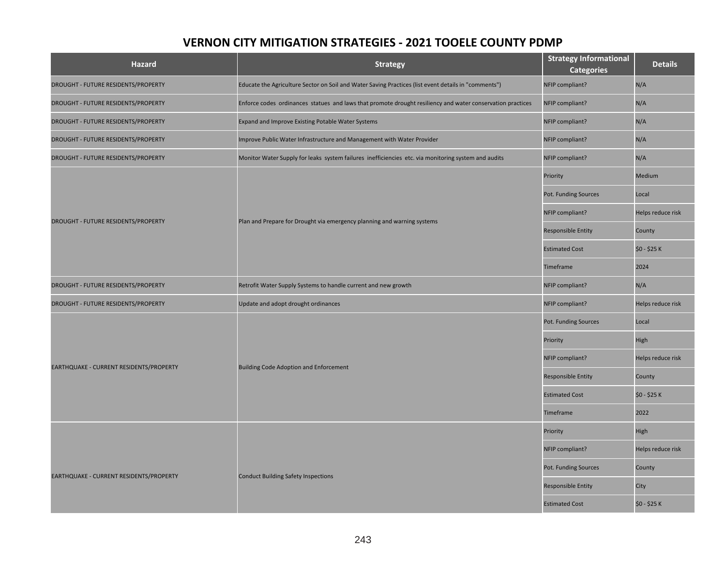| <b>Hazard</b>                           | <b>Strategy</b>                                                                                            | <b>Strategy Informational</b><br><b>Categories</b> | <b>Details</b>    |
|-----------------------------------------|------------------------------------------------------------------------------------------------------------|----------------------------------------------------|-------------------|
| DROUGHT - FUTURE RESIDENTS/PROPERTY     | Educate the Agriculture Sector on Soil and Water Saving Practices (list event details in "comments")       | NFIP compliant?                                    | N/A               |
| DROUGHT - FUTURE RESIDENTS/PROPERTY     | Enforce codes ordinances statues and laws that promote drought resiliency and water conservation practices | NFIP compliant?                                    | N/A               |
| DROUGHT - FUTURE RESIDENTS/PROPERTY     | Expand and Improve Existing Potable Water Systems                                                          | NFIP compliant?                                    | N/A               |
| DROUGHT - FUTURE RESIDENTS/PROPERTY     | Improve Public Water Infrastructure and Management with Water Provider                                     | NFIP compliant?                                    | N/A               |
| DROUGHT - FUTURE RESIDENTS/PROPERTY     | Monitor Water Supply for leaks system failures inefficiencies etc. via monitoring system and audits        | NFIP compliant?                                    | N/A               |
|                                         |                                                                                                            | Priority                                           | Medium            |
|                                         |                                                                                                            | Pot. Funding Sources                               | Local             |
| DROUGHT - FUTURE RESIDENTS/PROPERTY     | Plan and Prepare for Drought via emergency planning and warning systems                                    | NFIP compliant?                                    | Helps reduce risk |
|                                         |                                                                                                            | <b>Responsible Entity</b>                          | County            |
|                                         |                                                                                                            | <b>Estimated Cost</b>                              | \$0 - \$25 K      |
|                                         |                                                                                                            | Timeframe                                          | 2024              |
| DROUGHT - FUTURE RESIDENTS/PROPERTY     | Retrofit Water Supply Systems to handle current and new growth                                             | NFIP compliant?                                    | N/A               |
| DROUGHT - FUTURE RESIDENTS/PROPERTY     | Update and adopt drought ordinances                                                                        | NFIP compliant?                                    | Helps reduce risk |
|                                         | <b>Building Code Adoption and Enforcement</b>                                                              | Pot. Funding Sources                               | Local             |
|                                         |                                                                                                            | Priority                                           | High              |
| EARTHQUAKE - CURRENT RESIDENTS/PROPERTY |                                                                                                            | NFIP compliant?                                    | Helps reduce risk |
|                                         |                                                                                                            | <b>Responsible Entity</b>                          | County            |
|                                         |                                                                                                            | <b>Estimated Cost</b>                              | \$0 - \$25 K      |
|                                         |                                                                                                            | Timeframe                                          | 2022              |
|                                         |                                                                                                            | Priority                                           | High              |
|                                         |                                                                                                            | NFIP compliant?                                    | Helps reduce risk |
| EARTHQUAKE - CURRENT RESIDENTS/PROPERTY | <b>Conduct Building Safety Inspections</b>                                                                 | Pot. Funding Sources                               | County            |
|                                         |                                                                                                            | <b>Responsible Entity</b>                          | City              |
|                                         |                                                                                                            | <b>Estimated Cost</b>                              | \$0 - \$25 K      |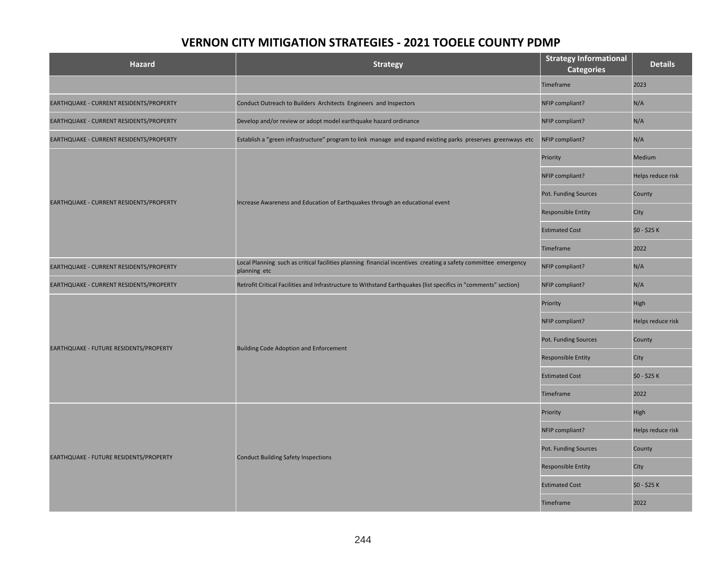| <b>Hazard</b>                           | <b>Strategy</b>                                                                                                                | <b>Strategy Informational</b><br><b>Categories</b> | <b>Details</b>    |
|-----------------------------------------|--------------------------------------------------------------------------------------------------------------------------------|----------------------------------------------------|-------------------|
|                                         |                                                                                                                                | Timeframe                                          | 2023              |
| EARTHQUAKE - CURRENT RESIDENTS/PROPERTY | Conduct Outreach to Builders Architects Engineers and Inspectors                                                               | NFIP compliant?                                    | N/A               |
| EARTHQUAKE - CURRENT RESIDENTS/PROPERTY | Develop and/or review or adopt model earthquake hazard ordinance                                                               | NFIP compliant?                                    | N/A               |
| EARTHQUAKE - CURRENT RESIDENTS/PROPERTY | Establish a "green infrastructure" program to link manage and expand existing parks preserves greenways etc                    | NFIP compliant?                                    | N/A               |
|                                         |                                                                                                                                | Priority                                           | Medium            |
|                                         |                                                                                                                                | NFIP compliant?                                    | Helps reduce risk |
| EARTHQUAKE - CURRENT RESIDENTS/PROPERTY |                                                                                                                                | Pot. Funding Sources                               | County            |
|                                         | Increase Awareness and Education of Earthquakes through an educational event                                                   | <b>Responsible Entity</b>                          | City              |
|                                         |                                                                                                                                | <b>Estimated Cost</b>                              | \$0 - \$25 K      |
|                                         |                                                                                                                                | Timeframe                                          | 2022              |
| EARTHQUAKE - CURRENT RESIDENTS/PROPERTY | Local Planning such as critical facilities planning financial incentives creating a safety committee emergency<br>planning etc | NFIP compliant?                                    | N/A               |
| EARTHQUAKE - CURRENT RESIDENTS/PROPERTY | Retrofit Critical Facilities and Infrastructure to Withstand Earthquakes (list specifics in "comments" section)                | NFIP compliant?                                    | N/A               |
|                                         | <b>Building Code Adoption and Enforcement</b>                                                                                  | Priority                                           | High              |
|                                         |                                                                                                                                | NFIP compliant?                                    | Helps reduce risk |
|                                         |                                                                                                                                | Pot. Funding Sources                               | County            |
| EARTHQUAKE - FUTURE RESIDENTS/PROPERTY  |                                                                                                                                | Responsible Entity                                 | City              |
|                                         |                                                                                                                                | <b>Estimated Cost</b>                              | \$0 - \$25 K      |
|                                         |                                                                                                                                | Timeframe                                          | 2022              |
|                                         |                                                                                                                                | Priority                                           | High              |
|                                         |                                                                                                                                | NFIP compliant?                                    | Helps reduce risk |
|                                         |                                                                                                                                | Pot. Funding Sources                               | County            |
| EARTHQUAKE - FUTURE RESIDENTS/PROPERTY  | <b>Conduct Building Safety Inspections</b>                                                                                     | <b>Responsible Entity</b>                          | City              |
|                                         |                                                                                                                                | <b>Estimated Cost</b>                              | \$0 - \$25 K      |
|                                         |                                                                                                                                | Timeframe                                          | 2022              |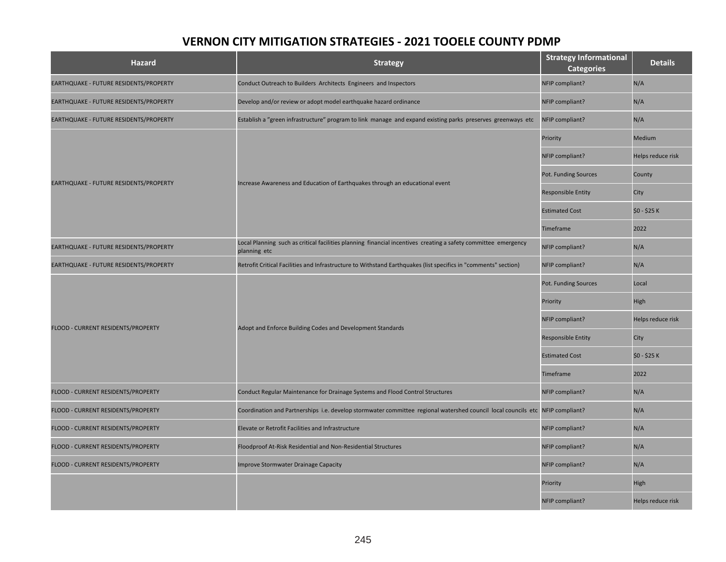| <b>Hazard</b>                          | <b>Strategy</b>                                                                                                                | <b>Strategy Informational</b><br><b>Categories</b> | <b>Details</b>    |
|----------------------------------------|--------------------------------------------------------------------------------------------------------------------------------|----------------------------------------------------|-------------------|
| EARTHQUAKE - FUTURE RESIDENTS/PROPERTY | Conduct Outreach to Builders Architects Engineers and Inspectors                                                               | NFIP compliant?                                    | N/A               |
| EARTHQUAKE - FUTURE RESIDENTS/PROPERTY | Develop and/or review or adopt model earthquake hazard ordinance                                                               | NFIP compliant?                                    | N/A               |
| EARTHQUAKE - FUTURE RESIDENTS/PROPERTY | Establish a "green infrastructure" program to link manage and expand existing parks preserves greenways etc                    | NFIP compliant?                                    | N/A               |
|                                        |                                                                                                                                | Priority                                           | Medium            |
|                                        |                                                                                                                                | NFIP compliant?                                    | Helps reduce risk |
| EARTHQUAKE - FUTURE RESIDENTS/PROPERTY | Increase Awareness and Education of Earthquakes through an educational event                                                   | Pot. Funding Sources                               | County            |
|                                        |                                                                                                                                | Responsible Entity                                 | City              |
|                                        |                                                                                                                                | <b>Estimated Cost</b>                              | \$0 - \$25 K      |
|                                        |                                                                                                                                | Timeframe                                          | 2022              |
| EARTHQUAKE - FUTURE RESIDENTS/PROPERTY | Local Planning such as critical facilities planning financial incentives creating a safety committee emergency<br>planning etc | NFIP compliant?                                    | N/A               |
| EARTHQUAKE - FUTURE RESIDENTS/PROPERTY | Retrofit Critical Facilities and Infrastructure to Withstand Earthquakes (list specifics in "comments" section)                | NFIP compliant?                                    | N/A               |
|                                        | Adopt and Enforce Building Codes and Development Standards                                                                     | Pot. Funding Sources                               | Local             |
|                                        |                                                                                                                                | Priority                                           | High              |
| FLOOD - CURRENT RESIDENTS/PROPERTY     |                                                                                                                                | NFIP compliant?                                    | Helps reduce risk |
|                                        |                                                                                                                                | <b>Responsible Entity</b>                          | City              |
|                                        |                                                                                                                                | <b>Estimated Cost</b>                              | \$0 - \$25 K      |
|                                        |                                                                                                                                | Timeframe                                          | 2022              |
| FLOOD - CURRENT RESIDENTS/PROPERTY     | Conduct Regular Maintenance for Drainage Systems and Flood Control Structures                                                  | NFIP compliant?                                    | N/A               |
| FLOOD - CURRENT RESIDENTS/PROPERTY     | Coordination and Partnerships i.e. develop stormwater committee regional watershed council local councils etc NFIP compliant?  |                                                    | N/A               |
| FLOOD - CURRENT RESIDENTS/PROPERTY     | Elevate or Retrofit Facilities and Infrastructure                                                                              | NFIP compliant?                                    | N/A               |
| FLOOD - CURRENT RESIDENTS/PROPERTY     | Floodproof At-Risk Residential and Non-Residential Structures                                                                  | NFIP compliant?                                    | N/A               |
| FLOOD - CURRENT RESIDENTS/PROPERTY     | <b>Improve Stormwater Drainage Capacity</b>                                                                                    | NFIP compliant?                                    | N/A               |
|                                        |                                                                                                                                | Priority                                           | High              |
|                                        |                                                                                                                                | NFIP compliant?                                    | Helps reduce risk |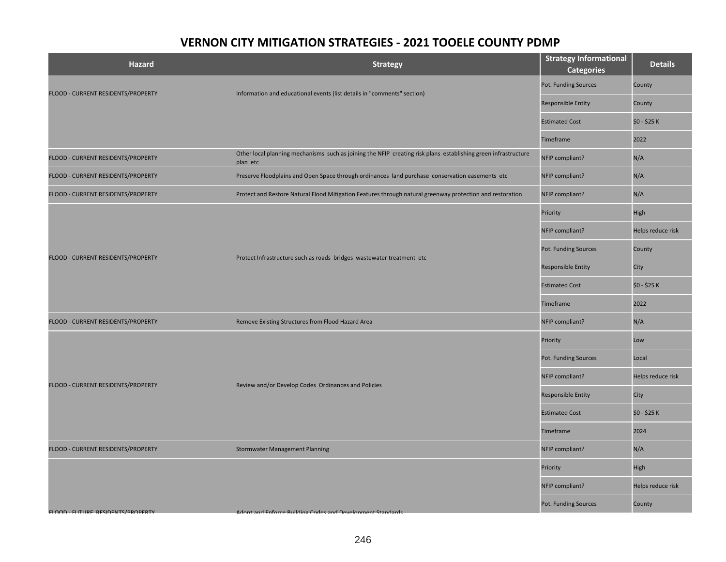| <b>Hazard</b>                            | <b>Strategy</b>                                                                                                            | <b>Strategy Informational</b><br><b>Categories</b> | <b>Details</b>    |
|------------------------------------------|----------------------------------------------------------------------------------------------------------------------------|----------------------------------------------------|-------------------|
|                                          |                                                                                                                            | Pot. Funding Sources                               | County            |
| FLOOD - CURRENT RESIDENTS/PROPERTY       | Information and educational events (list details in "comments" section)                                                    | <b>Responsible Entity</b>                          | County            |
|                                          |                                                                                                                            | <b>Estimated Cost</b>                              | \$0 - \$25 K      |
|                                          |                                                                                                                            | Timeframe                                          | 2022              |
| FLOOD - CURRENT RESIDENTS/PROPERTY       | Other local planning mechanisms such as joining the NFIP creating risk plans establishing green infrastructure<br>plan etc | NFIP compliant?                                    | N/A               |
| FLOOD - CURRENT RESIDENTS/PROPERTY       | Preserve Floodplains and Open Space through ordinances land purchase conservation easements etc                            | NFIP compliant?                                    | N/A               |
| FLOOD - CURRENT RESIDENTS/PROPERTY       | Protect and Restore Natural Flood Mitigation Features through natural greenway protection and restoration                  | NFIP compliant?                                    | N/A               |
|                                          |                                                                                                                            | Priority                                           | High              |
|                                          |                                                                                                                            | NFIP compliant?                                    | Helps reduce risk |
|                                          | Protect Infrastructure such as roads bridges wastewater treatment etc                                                      | Pot. Funding Sources                               | County            |
| FLOOD - CURRENT RESIDENTS/PROPERTY       |                                                                                                                            | Responsible Entity                                 | City              |
|                                          |                                                                                                                            | <b>Estimated Cost</b>                              | \$0 - \$25 K      |
|                                          |                                                                                                                            | Timeframe                                          | 2022              |
| FLOOD - CURRENT RESIDENTS/PROPERTY       | Remove Existing Structures from Flood Hazard Area                                                                          | NFIP compliant?                                    | N/A               |
|                                          | Review and/or Develop Codes Ordinances and Policies                                                                        | Priority                                           | Low               |
|                                          |                                                                                                                            | Pot. Funding Sources                               | Local             |
| FLOOD - CURRENT RESIDENTS/PROPERTY       |                                                                                                                            | NFIP compliant?                                    | Helps reduce risk |
|                                          |                                                                                                                            | <b>Responsible Entity</b>                          | City              |
|                                          |                                                                                                                            | <b>Estimated Cost</b>                              | \$0 - \$25 K      |
|                                          |                                                                                                                            | Timeframe                                          | 2024              |
| FLOOD - CURRENT RESIDENTS/PROPERTY       | <b>Stormwater Management Planning</b>                                                                                      | NFIP compliant?                                    | N/A               |
|                                          |                                                                                                                            | Priority                                           | High              |
|                                          |                                                                                                                            | NFIP compliant?                                    | Helps reduce risk |
| <b>FLOOD - FUTURE RESIDENTS/PROPERTY</b> | Adont and Enforce Building Codes and Development Standards                                                                 | Pot. Funding Sources                               | County            |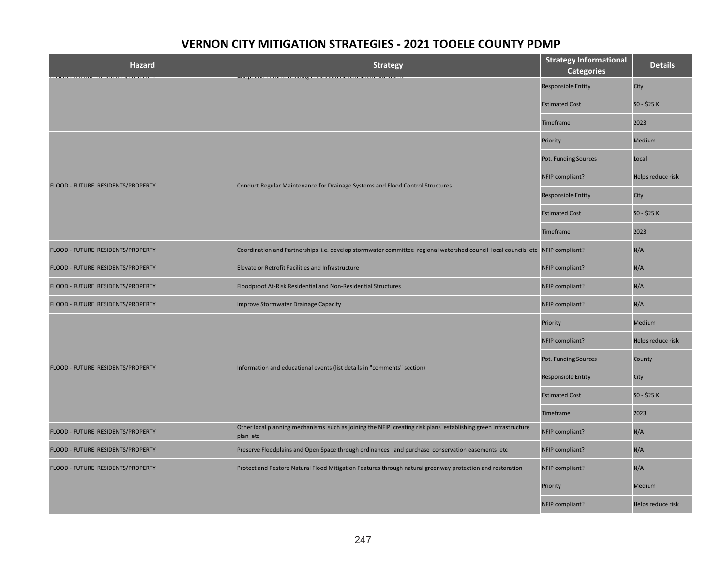| <b>Hazard</b>                       | <b>Strategy</b>                                                                                                               | <b>Strategy Informational</b><br><b>Categories</b> | <b>Details</b>    |
|-------------------------------------|-------------------------------------------------------------------------------------------------------------------------------|----------------------------------------------------|-------------------|
| ו בטטע וויטונען וויטונאון וויטונאון | and the material community of the component or an international                                                               | <b>Responsible Entity</b>                          | City              |
|                                     |                                                                                                                               | <b>Estimated Cost</b>                              | \$0 - \$25 K      |
|                                     |                                                                                                                               | Timeframe                                          | 2023              |
|                                     |                                                                                                                               | Priority                                           | Medium            |
|                                     |                                                                                                                               | Pot. Funding Sources                               | Local             |
|                                     | Conduct Regular Maintenance for Drainage Systems and Flood Control Structures                                                 | NFIP compliant?                                    | Helps reduce risk |
| FLOOD - FUTURE RESIDENTS/PROPERTY   |                                                                                                                               | <b>Responsible Entity</b>                          | City              |
|                                     |                                                                                                                               | <b>Estimated Cost</b>                              | \$0 - \$25 K      |
|                                     |                                                                                                                               | Timeframe                                          | 2023              |
| FLOOD - FUTURE RESIDENTS/PROPERTY   | Coordination and Partnerships i.e. develop stormwater committee regional watershed council local councils etc NFIP compliant? |                                                    | N/A               |
| FLOOD - FUTURE RESIDENTS/PROPERTY   | Elevate or Retrofit Facilities and Infrastructure                                                                             | NFIP compliant?                                    | N/A               |
| FLOOD - FUTURE RESIDENTS/PROPERTY   | Floodproof At-Risk Residential and Non-Residential Structures                                                                 | NFIP compliant?                                    | N/A               |
| FLOOD - FUTURE RESIDENTS/PROPERTY   | <b>Improve Stormwater Drainage Capacity</b>                                                                                   | NFIP compliant?                                    | N/A               |
|                                     | Information and educational events (list details in "comments" section)                                                       | Priority                                           | Medium            |
|                                     |                                                                                                                               | NFIP compliant?                                    | Helps reduce risk |
| FLOOD - FUTURE RESIDENTS/PROPERTY   |                                                                                                                               | Pot. Funding Sources                               | County            |
|                                     |                                                                                                                               | <b>Responsible Entity</b>                          | City              |
|                                     |                                                                                                                               | <b>Estimated Cost</b>                              | \$0 - \$25 K      |
|                                     |                                                                                                                               | <b>Timeframe</b>                                   | 2023              |
| FLOOD - FUTURE RESIDENTS/PROPERTY   | Other local planning mechanisms such as joining the NFIP creating risk plans establishing green infrastructure<br>plan etc    | NFIP compliant?                                    | N/A               |
| FLOOD - FUTURE RESIDENTS/PROPERTY   | Preserve Floodplains and Open Space through ordinances land purchase conservation easements etc                               | NFIP compliant?                                    | N/A               |
| FLOOD - FUTURE RESIDENTS/PROPERTY   | Protect and Restore Natural Flood Mitigation Features through natural greenway protection and restoration                     | NFIP compliant?                                    | N/A               |
|                                     |                                                                                                                               | Priority                                           | Medium            |
|                                     |                                                                                                                               | NFIP compliant?                                    | Helps reduce risk |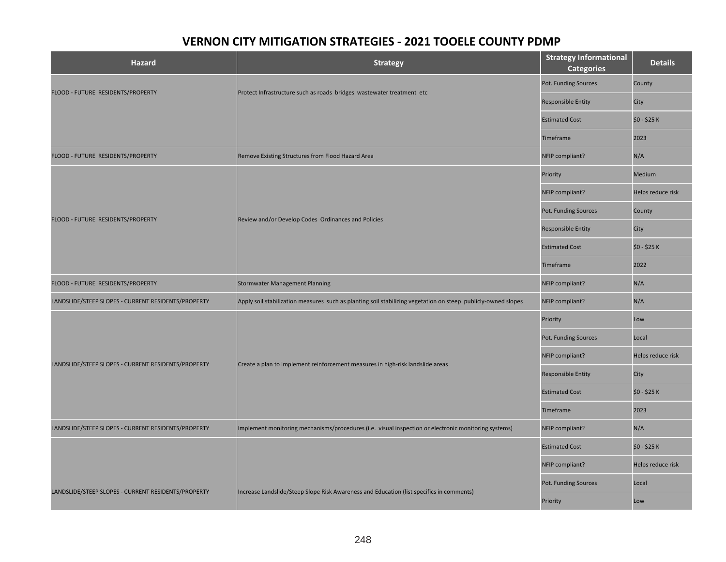| <b>Hazard</b>                                       | <b>Strategy</b>                                                                                               | <b>Strategy Informational</b><br><b>Categories</b> | <b>Details</b>    |
|-----------------------------------------------------|---------------------------------------------------------------------------------------------------------------|----------------------------------------------------|-------------------|
|                                                     |                                                                                                               | Pot. Funding Sources                               | County            |
| FLOOD - FUTURE RESIDENTS/PROPERTY                   | Protect Infrastructure such as roads bridges wastewater treatment etc                                         | <b>Responsible Entity</b>                          | City              |
|                                                     |                                                                                                               | <b>Estimated Cost</b>                              | \$0 - \$25 K      |
|                                                     |                                                                                                               | Timeframe                                          | 2023              |
| FLOOD - FUTURE RESIDENTS/PROPERTY                   | Remove Existing Structures from Flood Hazard Area                                                             | NFIP compliant?                                    | N/A               |
|                                                     |                                                                                                               | Priority                                           | Medium            |
|                                                     |                                                                                                               | NFIP compliant?                                    | Helps reduce risk |
|                                                     |                                                                                                               | Pot. Funding Sources                               | County            |
| FLOOD - FUTURE RESIDENTS/PROPERTY                   | Review and/or Develop Codes Ordinances and Policies                                                           | <b>Responsible Entity</b>                          | City              |
|                                                     |                                                                                                               | <b>Estimated Cost</b>                              | \$0 - \$25 K      |
|                                                     |                                                                                                               | Timeframe                                          | 2022              |
| FLOOD - FUTURE RESIDENTS/PROPERTY                   | <b>Stormwater Management Planning</b>                                                                         | NFIP compliant?                                    | N/A               |
| LANDSLIDE/STEEP SLOPES - CURRENT RESIDENTS/PROPERTY | Apply soil stabilization measures such as planting soil stabilizing vegetation on steep publicly-owned slopes | NFIP compliant?                                    | N/A               |
|                                                     |                                                                                                               | Priority                                           | Low               |
|                                                     |                                                                                                               | Pot. Funding Sources                               | Local             |
| LANDSLIDE/STEEP SLOPES - CURRENT RESIDENTS/PROPERTY | Create a plan to implement reinforcement measures in high-risk landslide areas                                | NFIP compliant?                                    | Helps reduce risk |
|                                                     |                                                                                                               | <b>Responsible Entity</b>                          | City              |
|                                                     |                                                                                                               | <b>Estimated Cost</b>                              | \$0 - \$25 K      |
|                                                     |                                                                                                               | Timeframe                                          | 2023              |
| LANDSLIDE/STEEP SLOPES - CURRENT RESIDENTS/PROPERTY | Implement monitoring mechanisms/procedures (i.e. visual inspection or electronic monitoring systems)          | NFIP compliant?                                    | N/A               |
|                                                     |                                                                                                               | <b>Estimated Cost</b>                              | \$0 - \$25 K      |
|                                                     |                                                                                                               | NFIP compliant?                                    | Helps reduce risk |
|                                                     |                                                                                                               | Pot. Funding Sources                               | Local             |
| LANDSLIDE/STEEP SLOPES - CURRENT RESIDENTS/PROPERTY | Increase Landslide/Steep Slope Risk Awareness and Education (list specifics in comments)                      | Priority                                           | Low               |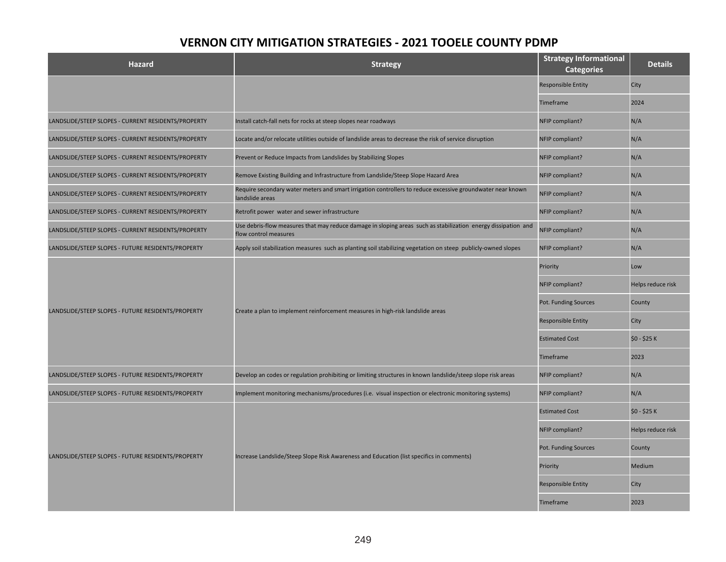| <b>Hazard</b>                                       | <b>Strategy</b>                                                                                                                        | <b>Strategy Informational</b><br><b>Categories</b> | <b>Details</b>    |
|-----------------------------------------------------|----------------------------------------------------------------------------------------------------------------------------------------|----------------------------------------------------|-------------------|
|                                                     |                                                                                                                                        | <b>Responsible Entity</b>                          | City              |
|                                                     |                                                                                                                                        | <b>Timeframe</b>                                   | 2024              |
| LANDSLIDE/STEEP SLOPES - CURRENT RESIDENTS/PROPERTY | Install catch-fall nets for rocks at steep slopes near roadways                                                                        | NFIP compliant?                                    | N/A               |
| LANDSLIDE/STEEP SLOPES - CURRENT RESIDENTS/PROPERTY | Locate and/or relocate utilities outside of landslide areas to decrease the risk of service disruption                                 | NFIP compliant?                                    | N/A               |
| LANDSLIDE/STEEP SLOPES - CURRENT RESIDENTS/PROPERTY | Prevent or Reduce Impacts from Landslides by Stabilizing Slopes                                                                        | NFIP compliant?                                    | N/A               |
| LANDSLIDE/STEEP SLOPES - CURRENT RESIDENTS/PROPERTY | Remove Existing Building and Infrastructure from Landslide/Steep Slope Hazard Area                                                     | NFIP compliant?                                    | N/A               |
| LANDSLIDE/STEEP SLOPES - CURRENT RESIDENTS/PROPERTY | Require secondary water meters and smart irrigation controllers to reduce excessive groundwater near known<br>landslide areas          | NFIP compliant?                                    | N/A               |
| LANDSLIDE/STEEP SLOPES - CURRENT RESIDENTS/PROPERTY | Retrofit power water and sewer infrastructure                                                                                          | NFIP compliant?                                    | N/A               |
| LANDSLIDE/STEEP SLOPES - CURRENT RESIDENTS/PROPERTY | Use debris-flow measures that may reduce damage in sloping areas such as stabilization energy dissipation and<br>flow control measures | NFIP compliant?                                    | N/A               |
| LANDSLIDE/STEEP SLOPES - FUTURE RESIDENTS/PROPERTY  | Apply soil stabilization measures such as planting soil stabilizing vegetation on steep publicly-owned slopes                          | NFIP compliant?                                    | N/A               |
|                                                     | Create a plan to implement reinforcement measures in high-risk landslide areas                                                         | Priority                                           | Low               |
|                                                     |                                                                                                                                        | NFIP compliant?                                    | Helps reduce risk |
| LANDSLIDE/STEEP SLOPES - FUTURE RESIDENTS/PROPERTY  |                                                                                                                                        | Pot. Funding Sources                               | County            |
|                                                     |                                                                                                                                        | <b>Responsible Entity</b>                          | City              |
|                                                     |                                                                                                                                        | <b>Estimated Cost</b>                              | \$0 - \$25 K      |
|                                                     |                                                                                                                                        | <b>Timeframe</b>                                   | 2023              |
| LANDSLIDE/STEEP SLOPES - FUTURE RESIDENTS/PROPERTY  | Develop an codes or regulation prohibiting or limiting structures in known landslide/steep slope risk areas                            | NFIP compliant?                                    | N/A               |
| LANDSLIDE/STEEP SLOPES - FUTURE RESIDENTS/PROPERTY  | Implement monitoring mechanisms/procedures (i.e. visual inspection or electronic monitoring systems)                                   | NFIP compliant?                                    | N/A               |
|                                                     |                                                                                                                                        | <b>Estimated Cost</b>                              | \$0 - \$25 K      |
|                                                     |                                                                                                                                        | NFIP compliant?                                    | Helps reduce risk |
|                                                     |                                                                                                                                        | Pot. Funding Sources                               | County            |
| LANDSLIDE/STEEP SLOPES - FUTURE RESIDENTS/PROPERTY  | Increase Landslide/Steep Slope Risk Awareness and Education (list specifics in comments)                                               | Priority                                           | Medium            |
|                                                     |                                                                                                                                        | <b>Responsible Entity</b>                          | City              |
|                                                     |                                                                                                                                        | Timeframe                                          | 2023              |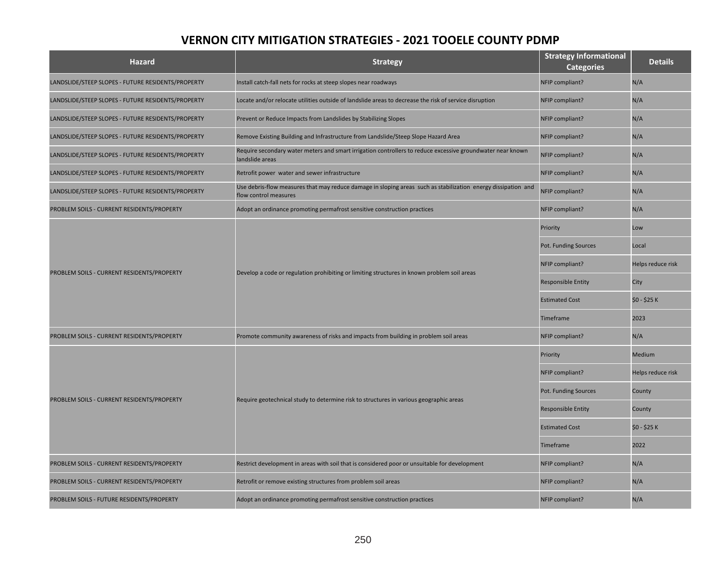| <b>Hazard</b>                                      | <b>Strategy</b>                                                                                                                        | <b>Strategy Informational</b><br><b>Categories</b> | <b>Details</b>    |
|----------------------------------------------------|----------------------------------------------------------------------------------------------------------------------------------------|----------------------------------------------------|-------------------|
| LANDSLIDE/STEEP SLOPES - FUTURE RESIDENTS/PROPERTY | Install catch-fall nets for rocks at steep slopes near roadways                                                                        | NFIP compliant?                                    | N/A               |
| LANDSLIDE/STEEP SLOPES - FUTURE RESIDENTS/PROPERTY | Locate and/or relocate utilities outside of landslide areas to decrease the risk of service disruption                                 | NFIP compliant?                                    | N/A               |
| LANDSLIDE/STEEP SLOPES - FUTURE RESIDENTS/PROPERTY | Prevent or Reduce Impacts from Landslides by Stabilizing Slopes                                                                        | NFIP compliant?                                    | N/A               |
| LANDSLIDE/STEEP SLOPES - FUTURE RESIDENTS/PROPERTY | Remove Existing Building and Infrastructure from Landslide/Steep Slope Hazard Area                                                     | NFIP compliant?                                    | N/A               |
| LANDSLIDE/STEEP SLOPES - FUTURE RESIDENTS/PROPERTY | Require secondary water meters and smart irrigation controllers to reduce excessive groundwater near known<br>landslide areas          | NFIP compliant?                                    | N/A               |
| LANDSLIDE/STEEP SLOPES - FUTURE RESIDENTS/PROPERTY | Retrofit power water and sewer infrastructure                                                                                          | NFIP compliant?                                    | N/A               |
| LANDSLIDE/STEEP SLOPES - FUTURE RESIDENTS/PROPERTY | Use debris-flow measures that may reduce damage in sloping areas such as stabilization energy dissipation and<br>flow control measures | NFIP compliant?                                    | N/A               |
| PROBLEM SOILS - CURRENT RESIDENTS/PROPERTY         | Adopt an ordinance promoting permafrost sensitive construction practices                                                               | NFIP compliant?                                    | N/A               |
|                                                    |                                                                                                                                        | Priority                                           | Low               |
|                                                    | Develop a code or regulation prohibiting or limiting structures in known problem soil areas                                            | Pot. Funding Sources                               | Local             |
|                                                    |                                                                                                                                        | NFIP compliant?                                    | Helps reduce risk |
| PROBLEM SOILS - CURRENT RESIDENTS/PROPERTY         |                                                                                                                                        | <b>Responsible Entity</b>                          | City              |
|                                                    |                                                                                                                                        | <b>Estimated Cost</b>                              | \$0 - \$25 K      |
|                                                    |                                                                                                                                        | <b>Timeframe</b>                                   | 2023              |
| PROBLEM SOILS - CURRENT RESIDENTS/PROPERTY         | Promote community awareness of risks and impacts from building in problem soil areas                                                   | NFIP compliant?                                    | N/A               |
|                                                    |                                                                                                                                        | Priority                                           | Medium            |
|                                                    |                                                                                                                                        | NFIP compliant?                                    | Helps reduce risk |
| PROBLEM SOILS - CURRENT RESIDENTS/PROPERTY         | Require geotechnical study to determine risk to structures in various geographic areas                                                 | Pot. Funding Sources                               | County            |
|                                                    |                                                                                                                                        | <b>Responsible Entity</b>                          | County            |
|                                                    |                                                                                                                                        | <b>Estimated Cost</b>                              | \$0 - \$25 K      |
|                                                    |                                                                                                                                        | Timeframe                                          | 2022              |
| PROBLEM SOILS - CURRENT RESIDENTS/PROPERTY         | Restrict development in areas with soil that is considered poor or unsuitable for development                                          | NFIP compliant?                                    | N/A               |
| PROBLEM SOILS - CURRENT RESIDENTS/PROPERTY         | Retrofit or remove existing structures from problem soil areas                                                                         | NFIP compliant?                                    | N/A               |
| PROBLEM SOILS - FUTURE RESIDENTS/PROPERTY          | Adopt an ordinance promoting permafrost sensitive construction practices                                                               | NFIP compliant?                                    | N/A               |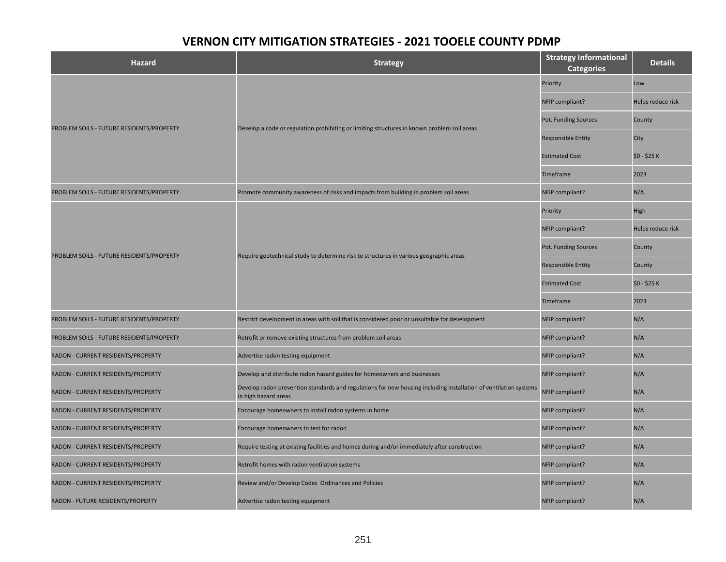| <b>Hazard</b>                             | <b>Strategy</b>                                                                                                                          | <b>Strategy Informational</b><br><b>Categories</b> | <b>Details</b>    |
|-------------------------------------------|------------------------------------------------------------------------------------------------------------------------------------------|----------------------------------------------------|-------------------|
|                                           |                                                                                                                                          | Priority                                           | Low               |
|                                           |                                                                                                                                          | NFIP compliant?                                    | Helps reduce risk |
|                                           |                                                                                                                                          | Pot. Funding Sources                               | County            |
| PROBLEM SOILS - FUTURE RESIDENTS/PROPERTY | Develop a code or regulation prohibiting or limiting structures in known problem soil areas                                              | <b>Responsible Entity</b>                          | City              |
|                                           |                                                                                                                                          | <b>Estimated Cost</b>                              | \$0 - \$25 K      |
|                                           |                                                                                                                                          | Timeframe                                          | 2023              |
| PROBLEM SOILS - FUTURE RESIDENTS/PROPERTY | Promote community awareness of risks and impacts from building in problem soil areas                                                     | NFIP compliant?                                    | N/A               |
|                                           |                                                                                                                                          | Priority                                           | High              |
|                                           |                                                                                                                                          | NFIP compliant?                                    | Helps reduce risk |
|                                           | Require geotechnical study to determine risk to structures in various geographic areas                                                   | Pot. Funding Sources                               | County            |
| PROBLEM SOILS - FUTURE RESIDENTS/PROPERTY |                                                                                                                                          | <b>Responsible Entity</b>                          | County            |
|                                           |                                                                                                                                          | <b>Estimated Cost</b>                              | \$0 - \$25 K      |
|                                           |                                                                                                                                          | <b>Timeframe</b>                                   | 2023              |
| PROBLEM SOILS - FUTURE RESIDENTS/PROPERTY | Restrict development in areas with soil that is considered poor or unsuitable for development                                            | NFIP compliant?                                    | N/A               |
| PROBLEM SOILS - FUTURE RESIDENTS/PROPERTY | Retrofit or remove existing structures from problem soil areas                                                                           | NFIP compliant?                                    | N/A               |
| RADON - CURRENT RESIDENTS/PROPERTY        | Advertise radon testing equipment                                                                                                        | NFIP compliant?                                    | N/A               |
| RADON - CURRENT RESIDENTS/PROPERTY        | Develop and distribute radon hazard guides for homeowners and businesses                                                                 | NFIP compliant?                                    | N/A               |
| RADON - CURRENT RESIDENTS/PROPERTY        | Develop radon prevention standards and regulations for new housing including installation of ventilation systems<br>in high hazard areas | NFIP compliant?                                    | N/A               |
| RADON - CURRENT RESIDENTS/PROPERTY        | Encourage homeowners to install radon systems in home                                                                                    | NFIP compliant?                                    | N/A               |
| RADON - CURRENT RESIDENTS/PROPERTY        | Encourage homeowners to test for radon                                                                                                   | NFIP compliant?                                    | N/A               |
| RADON - CURRENT RESIDENTS/PROPERTY        | Require testing at existing facilities and homes during and/or immediately after construction                                            | NFIP compliant?                                    | N/A               |
| RADON - CURRENT RESIDENTS/PROPERTY        | Retrofit homes with radon ventilation systems                                                                                            | NFIP compliant?                                    | N/A               |
| RADON - CURRENT RESIDENTS/PROPERTY        | Review and/or Develop Codes Ordinances and Policies                                                                                      | NFIP compliant?                                    | N/A               |
| RADON - FUTURE RESIDENTS/PROPERTY         | Advertise radon testing equipment                                                                                                        | NFIP compliant?                                    | N/A               |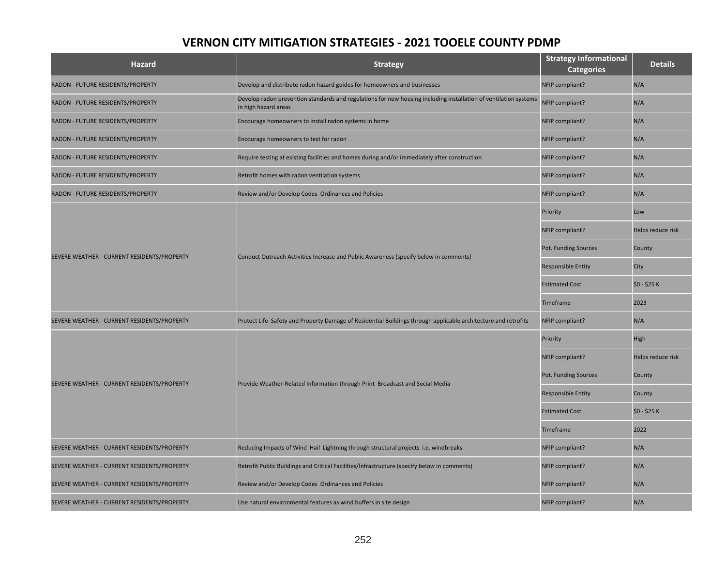| <b>Hazard</b>                               | <b>Strategy</b>                                                                                                                          | <b>Strategy Informational</b><br><b>Categories</b> | <b>Details</b>    |
|---------------------------------------------|------------------------------------------------------------------------------------------------------------------------------------------|----------------------------------------------------|-------------------|
| RADON - FUTURE RESIDENTS/PROPERTY           | Develop and distribute radon hazard guides for homeowners and businesses                                                                 | NFIP compliant?                                    | N/A               |
| RADON - FUTURE RESIDENTS/PROPERTY           | Develop radon prevention standards and regulations for new housing including installation of ventilation systems<br>in high hazard areas | NFIP compliant?                                    | N/A               |
| RADON - FUTURE RESIDENTS/PROPERTY           | Encourage homeowners to install radon systems in home                                                                                    | NFIP compliant?                                    | N/A               |
| RADON - FUTURE RESIDENTS/PROPERTY           | Encourage homeowners to test for radon                                                                                                   | NFIP compliant?                                    | N/A               |
| RADON - FUTURE RESIDENTS/PROPERTY           | Require testing at existing facilities and homes during and/or immediately after construction                                            | NFIP compliant?                                    | N/A               |
| RADON - FUTURE RESIDENTS/PROPERTY           | Retrofit homes with radon ventilation systems                                                                                            | NFIP compliant?                                    | N/A               |
| RADON - FUTURE RESIDENTS/PROPERTY           | Review and/or Develop Codes Ordinances and Policies                                                                                      | NFIP compliant?                                    | N/A               |
|                                             |                                                                                                                                          | Priority                                           | Low               |
|                                             |                                                                                                                                          | NFIP compliant?                                    | Helps reduce risk |
|                                             | Conduct Outreach Activities Increase and Public Awareness (specify below in comments)                                                    | Pot. Funding Sources                               | County            |
| SEVERE WEATHER - CURRENT RESIDENTS/PROPERTY |                                                                                                                                          | Responsible Entity                                 | City              |
|                                             |                                                                                                                                          | <b>Estimated Cost</b>                              | \$0 - \$25 K      |
|                                             |                                                                                                                                          | Timeframe                                          | 2023              |
| SEVERE WEATHER - CURRENT RESIDENTS/PROPERTY | Protect Life Safety and Property Damage of Residential Buildings through applicable architecture and retrofits                           | NFIP compliant?                                    | N/A               |
|                                             |                                                                                                                                          | Priority                                           | High              |
|                                             |                                                                                                                                          | NFIP compliant?                                    | Helps reduce risk |
| SEVERE WEATHER - CURRENT RESIDENTS/PROPERTY |                                                                                                                                          | Pot. Funding Sources                               | County            |
|                                             | Provide Weather-Related Information through Print Broadcast and Social Media                                                             | <b>Responsible Entity</b>                          | County            |
|                                             |                                                                                                                                          | <b>Estimated Cost</b>                              | \$0 - \$25 K      |
|                                             |                                                                                                                                          | Timeframe                                          | 2022              |
| SEVERE WEATHER - CURRENT RESIDENTS/PROPERTY | Reducing Impacts of Wind Hail Lightning through structural projects i.e. windbreaks                                                      | NFIP compliant?                                    | N/A               |
| SEVERE WEATHER - CURRENT RESIDENTS/PROPERTY | Retrofit Public Buildings and Critical Facilities/Infrastructure (specify below in comments)                                             | NFIP compliant?                                    | N/A               |
| SEVERE WEATHER - CURRENT RESIDENTS/PROPERTY | Review and/or Develop Codes Ordinances and Policies                                                                                      | NFIP compliant?                                    | N/A               |
| SEVERE WEATHER - CURRENT RESIDENTS/PROPERTY | Use natural environmental features as wind buffers in site design                                                                        | NFIP compliant?                                    | N/A               |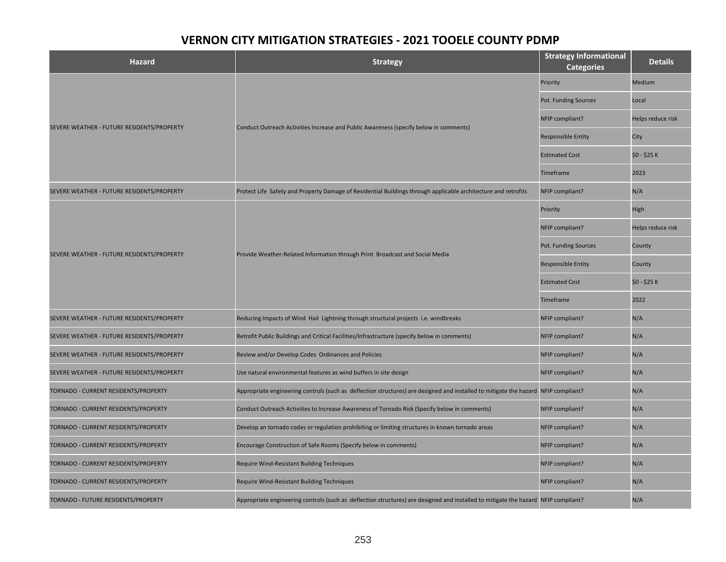| <b>Hazard</b>                              | <b>Strategy</b>                                                                                                                    | <b>Strategy Informational</b><br><b>Categories</b> | <b>Details</b>    |
|--------------------------------------------|------------------------------------------------------------------------------------------------------------------------------------|----------------------------------------------------|-------------------|
|                                            |                                                                                                                                    | Priority                                           | Medium            |
|                                            |                                                                                                                                    | Pot. Funding Sources                               | Local             |
|                                            |                                                                                                                                    | NFIP compliant?                                    | Helps reduce risk |
| SEVERE WEATHER - FUTURE RESIDENTS/PROPERTY | Conduct Outreach Activities Increase and Public Awareness (specify below in comments)                                              | <b>Responsible Entity</b>                          | City              |
|                                            |                                                                                                                                    | <b>Estimated Cost</b>                              | \$0 - \$25 K      |
|                                            |                                                                                                                                    | <b>Timeframe</b>                                   | 2023              |
| SEVERE WEATHER - FUTURE RESIDENTS/PROPERTY | Protect Life Safety and Property Damage of Residential Buildings through applicable architecture and retrofits                     | NFIP compliant?                                    | N/A               |
|                                            |                                                                                                                                    | Priority                                           | High              |
|                                            |                                                                                                                                    | NFIP compliant?                                    | Helps reduce risk |
|                                            | Provide Weather-Related Information through Print Broadcast and Social Media                                                       | Pot. Funding Sources                               | County            |
| SEVERE WEATHER - FUTURE RESIDENTS/PROPERTY |                                                                                                                                    | <b>Responsible Entity</b>                          | County            |
|                                            |                                                                                                                                    | <b>Estimated Cost</b>                              | \$0 - \$25 K      |
|                                            |                                                                                                                                    | <b>Timeframe</b>                                   | 2022              |
| SEVERE WEATHER - FUTURE RESIDENTS/PROPERTY | Reducing Impacts of Wind Hail Lightning through structural projects i.e. windbreaks                                                | NFIP compliant?                                    | N/A               |
| SEVERE WEATHER - FUTURE RESIDENTS/PROPERTY | Retrofit Public Buildings and Critical Facilities/Infrastructure (specify below in comments)                                       | NFIP compliant?                                    | N/A               |
| SEVERE WEATHER - FUTURE RESIDENTS/PROPERTY | Review and/or Develop Codes Ordinances and Policies                                                                                | NFIP compliant?                                    | N/A               |
| SEVERE WEATHER - FUTURE RESIDENTS/PROPERTY | Use natural environmental features as wind buffers in site design                                                                  | NFIP compliant?                                    | N/A               |
| TORNADO - CURRENT RESIDENTS/PROPERTY       | Appropriate engineering controls (such as deflection structures) are designed and installed to mitigate the hazard NFIP compliant? |                                                    | N/A               |
| TORNADO - CURRENT RESIDENTS/PROPERTY       | Conduct Outreach Activities to Increase Awareness of Tornado Risk (Specify below in comments)                                      | NFIP compliant?                                    | N/A               |
| TORNADO - CURRENT RESIDENTS/PROPERTY       | Develop an tornado codes or regulation prohibiting or limiting structures in known tornado areas                                   | NFIP compliant?                                    | N/A               |
| TORNADO - CURRENT RESIDENTS/PROPERTY       | Encourage Construction of Safe Rooms (Specify below in comments)                                                                   | NFIP compliant?                                    | N/A               |
| TORNADO - CURRENT RESIDENTS/PROPERTY       | Require Wind-Resistant Building Techniques                                                                                         | NFIP compliant?                                    | N/A               |
| TORNADO - CURRENT RESIDENTS/PROPERTY       | Require Wind-Resistant Building Techniques                                                                                         | NFIP compliant?                                    | N/A               |
| TORNADO - FUTURE RESIDENTS/PROPERTY        | Appropriate engineering controls (such as deflection structures) are designed and installed to mitigate the hazard NFIP compliant? |                                                    | N/A               |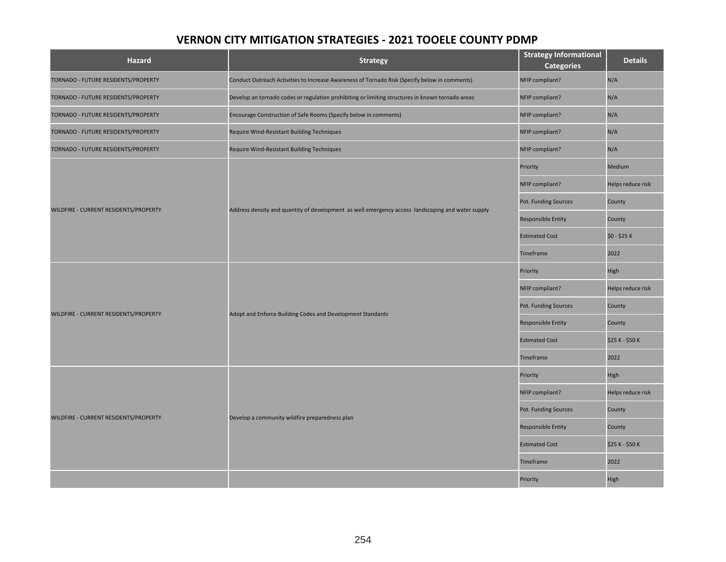| Hazard                                | <b>Strategy</b>                                                                                   | <b>Strategy Informational</b><br><b>Categories</b> | <b>Details</b>    |
|---------------------------------------|---------------------------------------------------------------------------------------------------|----------------------------------------------------|-------------------|
| TORNADO - FUTURE RESIDENTS/PROPERTY   | Conduct Outreach Activities to Increase Awareness of Tornado Risk (Specify below in comments)     | NFIP compliant?                                    | N/A               |
| TORNADO - FUTURE RESIDENTS/PROPERTY   | Develop an tornado codes or regulation prohibiting or limiting structures in known tornado areas  | NFIP compliant?                                    | N/A               |
| TORNADO - FUTURE RESIDENTS/PROPERTY   | Encourage Construction of Safe Rooms (Specify below in comments)                                  | NFIP compliant?                                    | N/A               |
| TORNADO - FUTURE RESIDENTS/PROPERTY   | Require Wind-Resistant Building Techniques                                                        | NFIP compliant?                                    | N/A               |
| TORNADO - FUTURE RESIDENTS/PROPERTY   | Require Wind-Resistant Building Techniques                                                        | NFIP compliant?                                    | N/A               |
|                                       |                                                                                                   | Priority                                           | Medium            |
|                                       |                                                                                                   | NFIP compliant?                                    | Helps reduce risk |
| WILDFIRE - CURRENT RESIDENTS/PROPERTY | Address density and quantity of development as well emergency access landscaping and water supply | Pot. Funding Sources                               | County            |
|                                       |                                                                                                   | <b>Responsible Entity</b>                          | County            |
|                                       |                                                                                                   | <b>Estimated Cost</b>                              | \$0 - \$25 K      |
|                                       |                                                                                                   | Timeframe                                          | 2022              |
|                                       | Adopt and Enforce Building Codes and Development Standards                                        | Priority                                           | High              |
|                                       |                                                                                                   | NFIP compliant?                                    | Helps reduce risk |
| WILDFIRE - CURRENT RESIDENTS/PROPERTY |                                                                                                   | Pot. Funding Sources                               | County            |
|                                       |                                                                                                   | <b>Responsible Entity</b>                          | County            |
|                                       |                                                                                                   | <b>Estimated Cost</b>                              | \$25 K - \$50 K   |
|                                       |                                                                                                   | Timeframe                                          | 2022              |
|                                       |                                                                                                   | Priority                                           | High              |
|                                       |                                                                                                   | NFIP compliant?                                    | Helps reduce risk |
| WILDFIRE - CURRENT RESIDENTS/PROPERTY | Develop a community wildfire preparedness plan                                                    | Pot. Funding Sources                               | County            |
|                                       |                                                                                                   | <b>Responsible Entity</b>                          | County            |
|                                       |                                                                                                   | <b>Estimated Cost</b>                              | \$25 K - \$50 K   |
|                                       |                                                                                                   | Timeframe                                          | 2022              |
|                                       |                                                                                                   | Priority                                           | High              |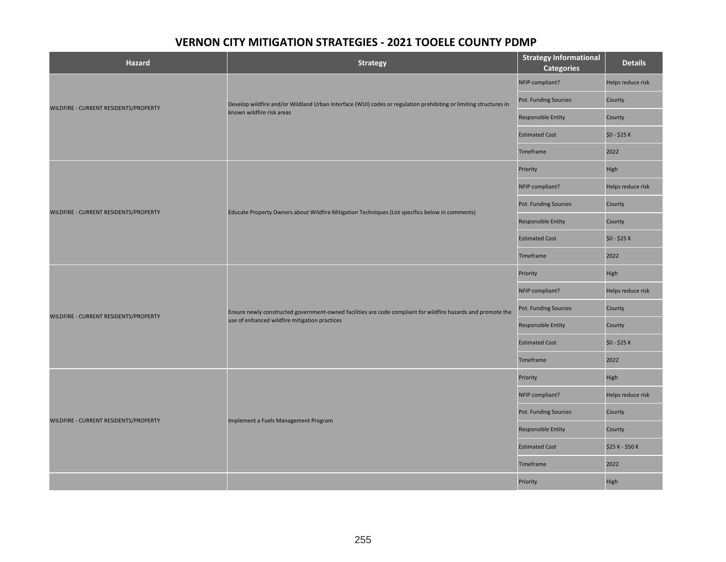| <b>Hazard</b>                         | <b>Strategy</b>                                                                                                                                               | <b>Strategy Informational</b><br><b>Categories</b> | <b>Details</b>    |
|---------------------------------------|---------------------------------------------------------------------------------------------------------------------------------------------------------------|----------------------------------------------------|-------------------|
|                                       |                                                                                                                                                               | NFIP compliant?                                    | Helps reduce risk |
|                                       | Develop wildfire and/or Wildland Urban Interface (WUI) codes or regulation prohibiting or limiting structures in                                              | Pot. Funding Sources                               | County            |
| WILDFIRE - CURRENT RESIDENTS/PROPERTY | known wildfire risk areas                                                                                                                                     | Responsible Entity                                 | County            |
|                                       |                                                                                                                                                               | <b>Estimated Cost</b>                              | \$0 - \$25 K      |
|                                       |                                                                                                                                                               | Timeframe                                          | 2022              |
|                                       |                                                                                                                                                               | Priority                                           | High              |
|                                       |                                                                                                                                                               | NFIP compliant?                                    | Helps reduce risk |
| WILDFIRE - CURRENT RESIDENTS/PROPERTY |                                                                                                                                                               | Pot. Funding Sources                               | County            |
|                                       | Educate Property Owners about Wildfire Mitigation Techniques (List specifics below in comments)                                                               | Responsible Entity                                 | County            |
|                                       |                                                                                                                                                               | <b>Estimated Cost</b>                              | \$0 - \$25 K      |
|                                       |                                                                                                                                                               | Timeframe                                          | 2022              |
|                                       | Ensure newly constructed government-owned facilities are code compliant for wildfire hazards and promote the<br>use of enhanced wildfire mitigation practices | Priority                                           | High              |
|                                       |                                                                                                                                                               | NFIP compliant?                                    | Helps reduce risk |
| WILDFIRE - CURRENT RESIDENTS/PROPERTY |                                                                                                                                                               | Pot. Funding Sources                               | County            |
|                                       |                                                                                                                                                               | <b>Responsible Entity</b>                          | County            |
|                                       |                                                                                                                                                               | <b>Estimated Cost</b>                              | \$0 - \$25 K      |
|                                       |                                                                                                                                                               | Timeframe                                          | 2022              |
|                                       |                                                                                                                                                               | Priority                                           | High              |
|                                       |                                                                                                                                                               | NFIP compliant?                                    | Helps reduce risk |
| WILDFIRE - CURRENT RESIDENTS/PROPERTY | Implement a Fuels Management Program                                                                                                                          | Pot. Funding Sources                               | County            |
|                                       |                                                                                                                                                               | Responsible Entity                                 | County            |
|                                       |                                                                                                                                                               | <b>Estimated Cost</b>                              | \$25 K - \$50 K   |
|                                       |                                                                                                                                                               | Timeframe                                          | 2022              |
|                                       |                                                                                                                                                               | Priority                                           | High              |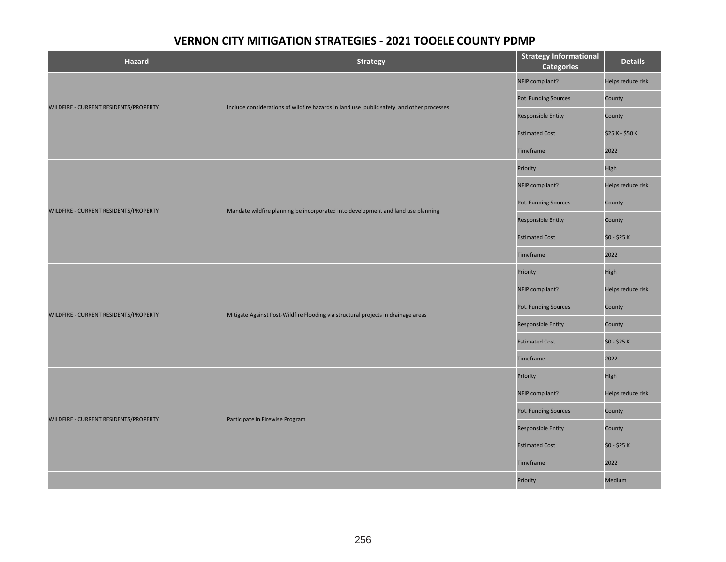| <b>Hazard</b>                         | <b>Strategy</b>                                                                          | <b>Strategy Informational</b><br><b>Categories</b> | <b>Details</b>    |
|---------------------------------------|------------------------------------------------------------------------------------------|----------------------------------------------------|-------------------|
|                                       |                                                                                          | NFIP compliant?                                    | Helps reduce risk |
|                                       | Include considerations of wildfire hazards in land use public safety and other processes | Pot. Funding Sources                               | County            |
| WILDFIRE - CURRENT RESIDENTS/PROPERTY |                                                                                          | Responsible Entity                                 | County            |
|                                       |                                                                                          | <b>Estimated Cost</b>                              | \$25 K - \$50 K   |
|                                       |                                                                                          | Timeframe                                          | 2022              |
|                                       |                                                                                          | Priority                                           | High              |
|                                       |                                                                                          | NFIP compliant?                                    | Helps reduce risk |
| WILDFIRE - CURRENT RESIDENTS/PROPERTY |                                                                                          | Pot. Funding Sources                               | County            |
|                                       | Mandate wildfire planning be incorporated into development and land use planning         | Responsible Entity                                 | County            |
|                                       |                                                                                          | <b>Estimated Cost</b>                              | \$0 - \$25 K      |
|                                       |                                                                                          | Timeframe                                          | 2022              |
|                                       | Mitigate Against Post-Wildfire Flooding via structural projects in drainage areas        | Priority                                           | High              |
|                                       |                                                                                          | NFIP compliant?                                    | Helps reduce risk |
| WILDFIRE - CURRENT RESIDENTS/PROPERTY |                                                                                          | Pot. Funding Sources                               | County            |
|                                       |                                                                                          | <b>Responsible Entity</b>                          | County            |
|                                       |                                                                                          | <b>Estimated Cost</b>                              | \$0 - \$25 K      |
|                                       |                                                                                          | Timeframe                                          | 2022              |
|                                       |                                                                                          | Priority                                           | High              |
|                                       |                                                                                          | NFIP compliant?                                    | Helps reduce risk |
|                                       | Participate in Firewise Program                                                          | Pot. Funding Sources                               | County            |
| WILDFIRE - CURRENT RESIDENTS/PROPERTY |                                                                                          | <b>Responsible Entity</b>                          | County            |
|                                       |                                                                                          | <b>Estimated Cost</b>                              | \$0 - \$25 K      |
|                                       |                                                                                          | Timeframe                                          | 2022              |
|                                       |                                                                                          | Priority                                           | Medium            |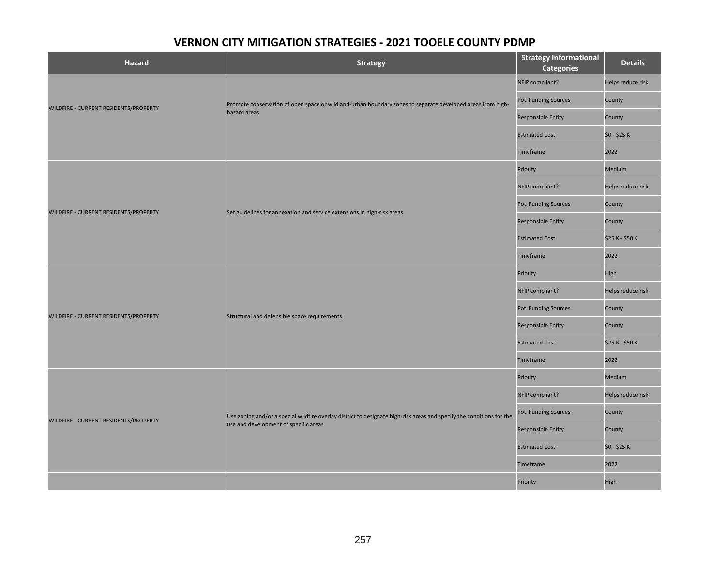| <b>Hazard</b>                         | <b>Strategy</b>                                                                                                       | <b>Strategy Informational</b><br><b>Categories</b> | <b>Details</b>    |
|---------------------------------------|-----------------------------------------------------------------------------------------------------------------------|----------------------------------------------------|-------------------|
|                                       |                                                                                                                       | NFIP compliant?                                    | Helps reduce risk |
|                                       | Promote conservation of open space or wildland-urban boundary zones to separate developed areas from high-            | Pot. Funding Sources                               | County            |
| WILDFIRE - CURRENT RESIDENTS/PROPERTY | hazard areas                                                                                                          | <b>Responsible Entity</b>                          | County            |
|                                       |                                                                                                                       | <b>Estimated Cost</b>                              | \$0 - \$25 K      |
|                                       |                                                                                                                       | Timeframe                                          | 2022              |
|                                       |                                                                                                                       | Priority                                           | Medium            |
|                                       |                                                                                                                       | NFIP compliant?                                    | Helps reduce risk |
| WILDFIRE - CURRENT RESIDENTS/PROPERTY | Set guidelines for annexation and service extensions in high-risk areas                                               | Pot. Funding Sources                               | County            |
|                                       |                                                                                                                       | Responsible Entity                                 | County            |
|                                       |                                                                                                                       | <b>Estimated Cost</b>                              | \$25 K - \$50 K   |
|                                       |                                                                                                                       | Timeframe                                          | 2022              |
|                                       | Structural and defensible space requirements                                                                          | Priority                                           | High              |
|                                       |                                                                                                                       | NFIP compliant?                                    | Helps reduce risk |
| WILDFIRE - CURRENT RESIDENTS/PROPERTY |                                                                                                                       | Pot. Funding Sources                               | County            |
|                                       |                                                                                                                       | <b>Responsible Entity</b>                          | County            |
|                                       |                                                                                                                       | <b>Estimated Cost</b>                              | \$25 K - \$50 K   |
|                                       |                                                                                                                       | Timeframe                                          | 2022              |
|                                       |                                                                                                                       | Priority                                           | Medium            |
|                                       |                                                                                                                       | NFIP compliant?                                    | Helps reduce risk |
| WILDFIRE - CURRENT RESIDENTS/PROPERTY | Use zoning and/or a special wildfire overlay district to designate high-risk areas and specify the conditions for the | Pot. Funding Sources                               | County            |
|                                       | use and development of specific areas                                                                                 | <b>Responsible Entity</b>                          | County            |
|                                       |                                                                                                                       | <b>Estimated Cost</b>                              | \$0 - \$25 K      |
|                                       |                                                                                                                       | Timeframe                                          | 2022              |
|                                       |                                                                                                                       | Priority                                           | High              |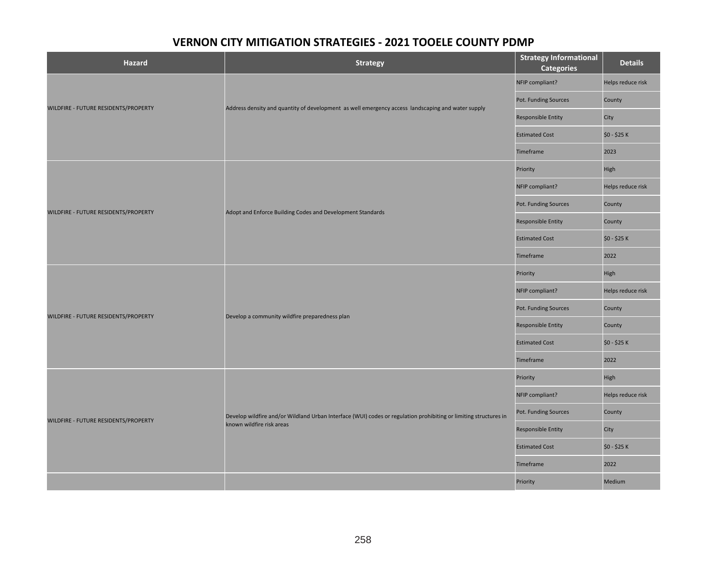| <b>Hazard</b>                        | <b>Strategy</b>                                                                                                  | <b>Strategy Informational</b><br><b>Categories</b> | <b>Details</b>    |
|--------------------------------------|------------------------------------------------------------------------------------------------------------------|----------------------------------------------------|-------------------|
|                                      |                                                                                                                  | NFIP compliant?                                    | Helps reduce risk |
|                                      |                                                                                                                  | Pot. Funding Sources                               | County            |
| WILDFIRE - FUTURE RESIDENTS/PROPERTY | Address density and quantity of development as well emergency access landscaping and water supply                | Responsible Entity                                 | City              |
|                                      |                                                                                                                  | <b>Estimated Cost</b>                              | \$0 - \$25 K      |
|                                      |                                                                                                                  | Timeframe                                          | 2023              |
|                                      |                                                                                                                  | Priority                                           | High              |
|                                      |                                                                                                                  | NFIP compliant?                                    | Helps reduce risk |
|                                      |                                                                                                                  | Pot. Funding Sources                               | County            |
| WILDFIRE - FUTURE RESIDENTS/PROPERTY | Adopt and Enforce Building Codes and Development Standards                                                       | Responsible Entity                                 | County            |
|                                      |                                                                                                                  | <b>Estimated Cost</b>                              | \$0 - \$25 K      |
|                                      |                                                                                                                  | Timeframe                                          | 2022              |
|                                      | Develop a community wildfire preparedness plan                                                                   | Priority                                           | High              |
|                                      |                                                                                                                  | NFIP compliant?                                    | Helps reduce risk |
| WILDFIRE - FUTURE RESIDENTS/PROPERTY |                                                                                                                  | Pot. Funding Sources                               | County            |
|                                      |                                                                                                                  | Responsible Entity                                 | County            |
|                                      |                                                                                                                  | <b>Estimated Cost</b>                              | \$0 - \$25 K      |
|                                      |                                                                                                                  | Timeframe                                          | 2022              |
|                                      |                                                                                                                  | Priority                                           | High              |
|                                      |                                                                                                                  | NFIP compliant?                                    | Helps reduce risk |
|                                      | Develop wildfire and/or Wildland Urban Interface (WUI) codes or regulation prohibiting or limiting structures in | Pot. Funding Sources                               | County            |
| WILDFIRE - FUTURE RESIDENTS/PROPERTY | known wildfire risk areas                                                                                        | <b>Responsible Entity</b>                          | City              |
|                                      |                                                                                                                  | <b>Estimated Cost</b>                              | \$0 - \$25 K      |
|                                      |                                                                                                                  | Timeframe                                          | 2022              |
|                                      |                                                                                                                  | Priority                                           | Medium            |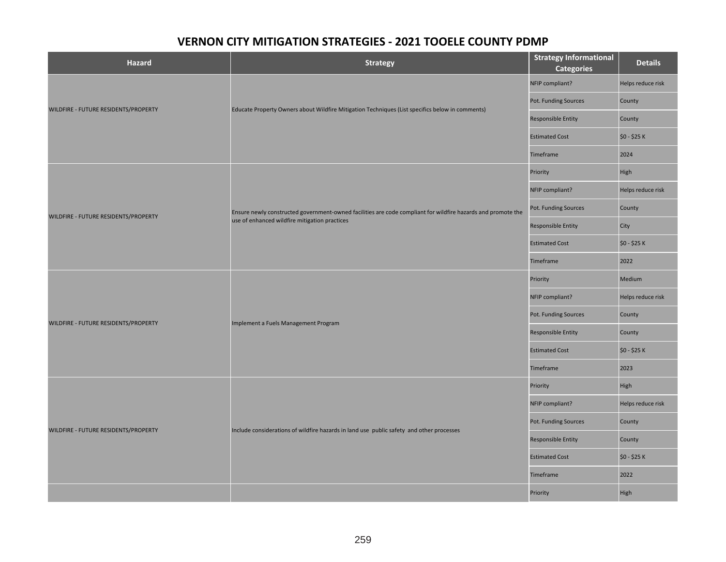| <b>Hazard</b>                        | Strategy                                                                                                     | <b>Strategy Informational</b><br><b>Categories</b> | <b>Details</b>    |
|--------------------------------------|--------------------------------------------------------------------------------------------------------------|----------------------------------------------------|-------------------|
|                                      |                                                                                                              | NFIP compliant?                                    | Helps reduce risk |
| WILDFIRE - FUTURE RESIDENTS/PROPERTY | Educate Property Owners about Wildfire Mitigation Techniques (List specifics below in comments)              | Pot. Funding Sources                               | County            |
|                                      |                                                                                                              | <b>Responsible Entity</b>                          | County            |
|                                      |                                                                                                              | <b>Estimated Cost</b>                              | \$0 - \$25 K      |
|                                      |                                                                                                              | Timeframe                                          | 2024              |
|                                      |                                                                                                              | Priority                                           | High              |
|                                      |                                                                                                              | NFIP compliant?                                    | Helps reduce risk |
| WILDFIRE - FUTURE RESIDENTS/PROPERTY | Ensure newly constructed government-owned facilities are code compliant for wildfire hazards and promote the | Pot. Funding Sources                               | County            |
|                                      | use of enhanced wildfire mitigation practices                                                                | <b>Responsible Entity</b>                          | City              |
|                                      |                                                                                                              | <b>Estimated Cost</b>                              | \$0 - \$25 K      |
|                                      |                                                                                                              | Timeframe                                          | 2022              |
|                                      | Implement a Fuels Management Program                                                                         | Priority                                           | Medium            |
|                                      |                                                                                                              | NFIP compliant?                                    | Helps reduce risk |
| WILDFIRE - FUTURE RESIDENTS/PROPERTY |                                                                                                              | Pot. Funding Sources                               | County            |
|                                      |                                                                                                              | <b>Responsible Entity</b>                          | County            |
|                                      |                                                                                                              | <b>Estimated Cost</b>                              | \$0 - \$25 K      |
|                                      |                                                                                                              | Timeframe                                          | 2023              |
|                                      |                                                                                                              | Priority                                           | High              |
|                                      |                                                                                                              | NFIP compliant?                                    | Helps reduce risk |
| WILDFIRE - FUTURE RESIDENTS/PROPERTY | Include considerations of wildfire hazards in land use public safety and other processes                     | Pot. Funding Sources                               | County            |
|                                      |                                                                                                              | <b>Responsible Entity</b>                          | County            |
|                                      |                                                                                                              | <b>Estimated Cost</b>                              | \$0 - \$25 K      |
|                                      |                                                                                                              | Timeframe                                          | 2022              |
|                                      |                                                                                                              | Priority                                           | High              |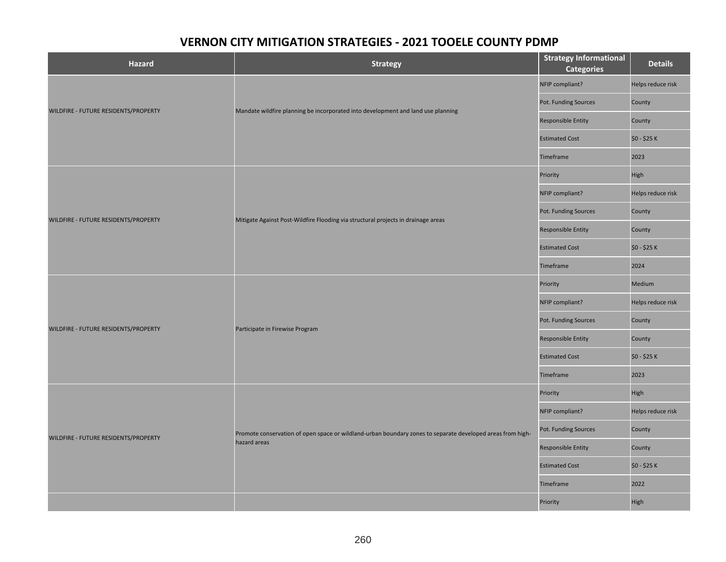| <b>Hazard</b>                        | <b>Strategy</b>                                                                                            | <b>Strategy Informational</b><br><b>Categories</b> | <b>Details</b>    |
|--------------------------------------|------------------------------------------------------------------------------------------------------------|----------------------------------------------------|-------------------|
|                                      |                                                                                                            | NFIP compliant?                                    | Helps reduce risk |
|                                      | Mandate wildfire planning be incorporated into development and land use planning                           | Pot. Funding Sources                               | County            |
| WILDFIRE - FUTURE RESIDENTS/PROPERTY |                                                                                                            | <b>Responsible Entity</b>                          | County            |
|                                      |                                                                                                            | <b>Estimated Cost</b>                              | \$0 - \$25 K      |
|                                      |                                                                                                            | Timeframe                                          | 2023              |
|                                      |                                                                                                            | Priority                                           | High              |
|                                      |                                                                                                            | NFIP compliant?                                    | Helps reduce risk |
| WILDFIRE - FUTURE RESIDENTS/PROPERTY | Mitigate Against Post-Wildfire Flooding via structural projects in drainage areas                          | Pot. Funding Sources                               | County            |
|                                      |                                                                                                            | <b>Responsible Entity</b>                          | County            |
|                                      |                                                                                                            | <b>Estimated Cost</b>                              | \$0 - \$25 K      |
|                                      |                                                                                                            | Timeframe                                          | 2024              |
|                                      | Participate in Firewise Program                                                                            | Priority                                           | Medium            |
|                                      |                                                                                                            | NFIP compliant?                                    | Helps reduce risk |
| WILDFIRE - FUTURE RESIDENTS/PROPERTY |                                                                                                            | Pot. Funding Sources                               | County            |
|                                      |                                                                                                            | <b>Responsible Entity</b>                          | County            |
|                                      |                                                                                                            | <b>Estimated Cost</b>                              | \$0 - \$25 K      |
|                                      |                                                                                                            | Timeframe                                          | 2023              |
|                                      |                                                                                                            | Priority                                           | High              |
|                                      |                                                                                                            | NFIP compliant?                                    | Helps reduce risk |
| WILDFIRE - FUTURE RESIDENTS/PROPERTY | Promote conservation of open space or wildland-urban boundary zones to separate developed areas from high- | Pot. Funding Sources                               | County            |
|                                      | hazard areas                                                                                               | Responsible Entity                                 | County            |
|                                      |                                                                                                            | <b>Estimated Cost</b>                              | \$0 - \$25 K      |
|                                      |                                                                                                            | Timeframe                                          | 2022              |
|                                      |                                                                                                            | Priority                                           | High              |